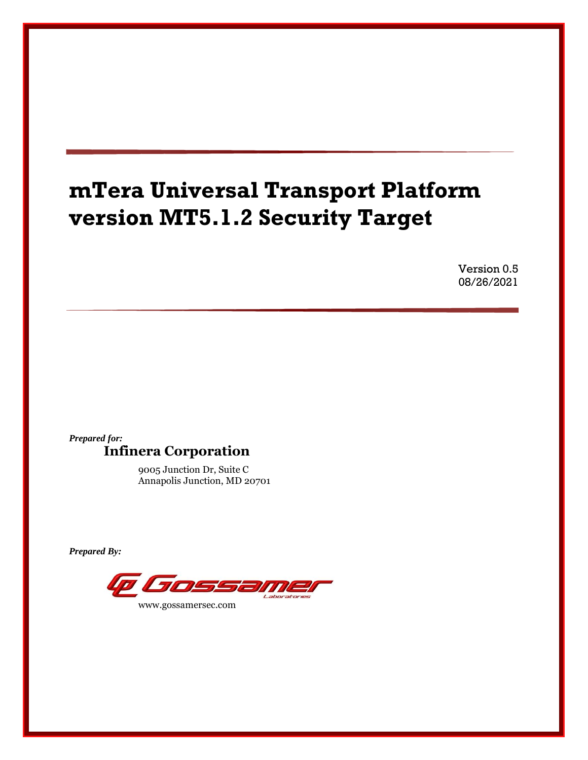# **mTera Universal Transport Platform version MT5.1.2 Security Target**

Version 0.5 08/26/2021

# *Prepared for:* **Infinera Corporation**

9005 Junction Dr, Suite C Annapolis Junction, MD 20701

*Prepared By:*

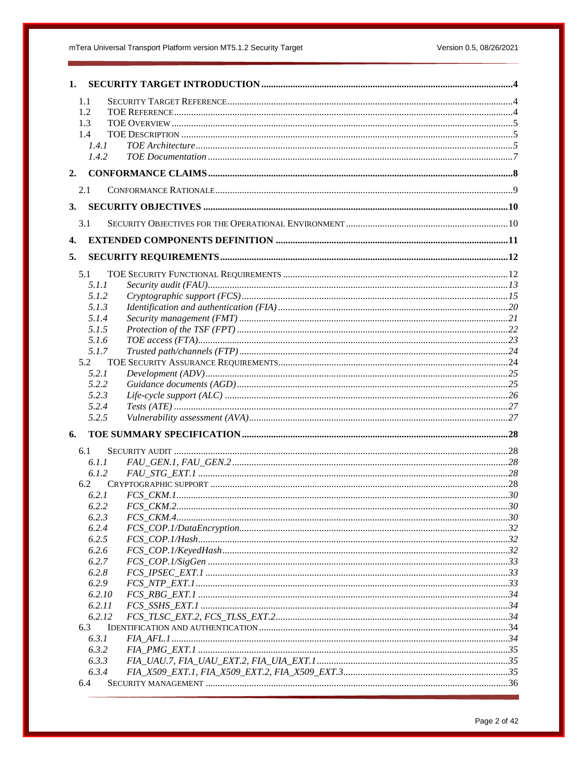# mTera Universal Transport Platform version MT5.1.2 Security Target

| 1.               |  |
|------------------|--|
| 1.1              |  |
| 1.2              |  |
| 1.3              |  |
| 1.4              |  |
| 1.4.1            |  |
| 1.4.2            |  |
| 2.               |  |
| 2.1              |  |
| 3.               |  |
| 3.1              |  |
| $\overline{4}$ . |  |
| 5.               |  |
| 5.1              |  |
| 5.1.1            |  |
| 5.1.2            |  |
| 5.1.3            |  |
| 5.1.4            |  |
| 5.1.5            |  |
| 5.1.6            |  |
| 5.1.7<br>5.2     |  |
| 5.2.1            |  |
| 5.2.2            |  |
| 5.2.3            |  |
| 5.2.4            |  |
| 5.2.5            |  |
| 6.               |  |
| 6.1              |  |
| 6.1.1            |  |
| 6.1.2            |  |
| 6.2              |  |
| 6.2.1            |  |
| 6.2.2            |  |
| 6.2.3            |  |
| 6.2.4            |  |
| 6.2.5            |  |
| 6.2.6            |  |
| 6.2.7<br>6.2.8   |  |
| 6.2.9            |  |
| 6.2.10           |  |
| 6.2.11           |  |
| 6.2.12           |  |
| 6.3              |  |
| 6.3.1            |  |
| 6.3.2            |  |
| 6.3.3            |  |
| 6.3.4            |  |
| 6.4              |  |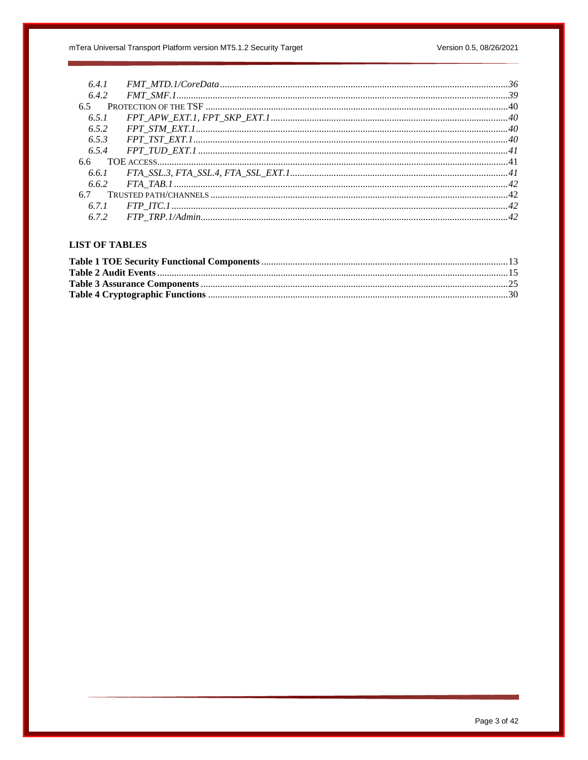| 6.4.1 |  |
|-------|--|
| 6.4.2 |  |
| 6.5   |  |
| 6.5.1 |  |
| 6.5.2 |  |
| 6.5.3 |  |
| 6.5.4 |  |
| 6.6   |  |
|       |  |
|       |  |
|       |  |
|       |  |
|       |  |

# **LIST OF TABLES**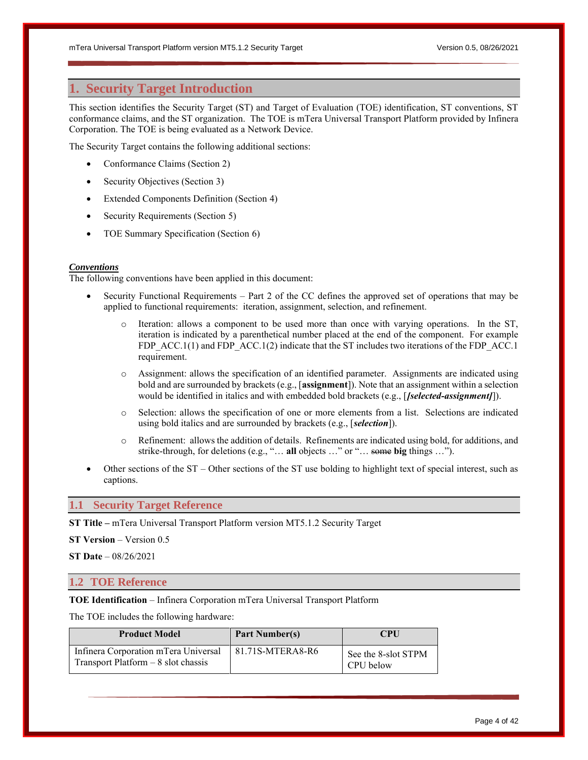# <span id="page-3-0"></span>**1. Security Target Introduction**

This section identifies the Security Target (ST) and Target of Evaluation (TOE) identification, ST conventions, ST conformance claims, and the ST organization. The TOE is mTera Universal Transport Platform provided by Infinera Corporation. The TOE is being evaluated as a Network Device.

The Security Target contains the following additional sections:

- Conformance Claims (Section 2)
- Security Objectives (Section 3)
- Extended Components Definition (Section 4)
- Security Requirements (Section 5)
- TOE Summary Specification (Section 6)

#### *Conventions*

The following conventions have been applied in this document:

- Security Functional Requirements Part 2 of the CC defines the approved set of operations that may be applied to functional requirements: iteration, assignment, selection, and refinement.
	- o Iteration: allows a component to be used more than once with varying operations. In the ST, iteration is indicated by a parenthetical number placed at the end of the component. For example FDP\_ACC.1(1) and FDP\_ACC.1(2) indicate that the ST includes two iterations of the FDP\_ACC.1 requirement.
	- o Assignment: allows the specification of an identified parameter. Assignments are indicated using bold and are surrounded by brackets (e.g., [**assignment**]). Note that an assignment within a selection would be identified in italics and with embedded bold brackets (e.g., [*[selected-assignment]*]).
	- o Selection: allows the specification of one or more elements from a list. Selections are indicated using bold italics and are surrounded by brackets (e.g., [*selection*]).
	- o Refinement: allows the addition of details. Refinements are indicated using bold, for additions, and strike-through, for deletions (e.g., "… **all** objects …" or "… some **big** things …").
- Other sections of the ST Other sections of the ST use bolding to highlight text of special interest, such as captions.

# <span id="page-3-1"></span>**1.1 Security Target Reference**

**ST Title –** mTera Universal Transport Platform version MT5.1.2 Security Target

**ST Version** – Version 0.5

**ST Date** – 08/26/2021

# <span id="page-3-2"></span>**1.2 TOE Reference**

**TOE Identification** – Infinera Corporation mTera Universal Transport Platform

The TOE includes the following hardware:

| <b>Product Model</b>                                                         | <b>Part Number(s)</b> | <b>CPU</b>                       |
|------------------------------------------------------------------------------|-----------------------|----------------------------------|
| Infinera Corporation mTera Universal<br>Transport Platform $-8$ slot chassis | 81.71S-MTERA8-R6      | See the 8-slot STPM<br>CPU below |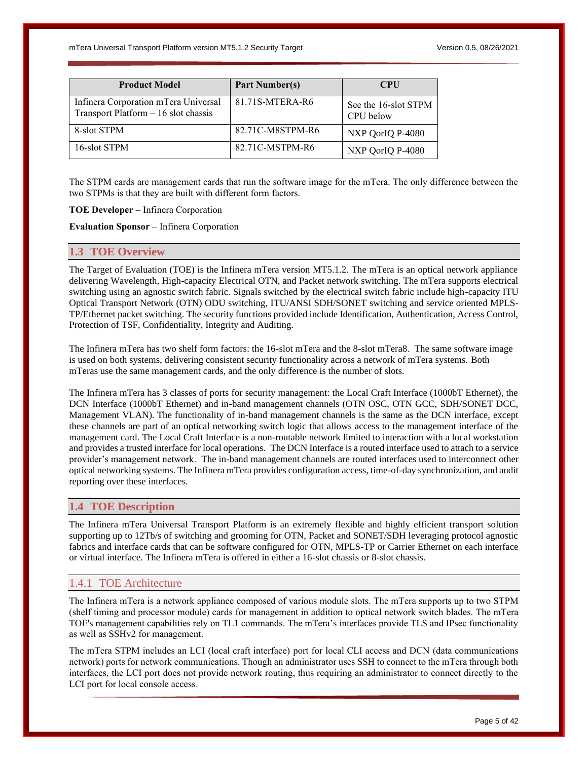| <b>Product Model</b>                                                         | <b>Part Number(s)</b> | <b>CPU</b>                        |
|------------------------------------------------------------------------------|-----------------------|-----------------------------------|
| Infinera Corporation mTera Universal<br>Transport Platform - 16 slot chassis | 81.71S-MTERA-R6       | See the 16-slot STPM<br>CPU below |
| 8-slot STPM                                                                  | 82.71C-M8STPM-R6      | NXP QorIQ P-4080                  |
| 16-slot STPM                                                                 | 82.71C-MSTPM-R6       | NXP QorIQ P-4080                  |

The STPM cards are management cards that run the software image for the mTera. The only difference between the two STPMs is that they are built with different form factors.

**TOE Developer** – Infinera Corporation

**Evaluation Sponsor** – Infinera Corporation

# <span id="page-4-0"></span>**1.3 TOE Overview**

The Target of Evaluation (TOE) is the Infinera mTera version MT5.1.2. The mTera is an optical network appliance delivering Wavelength, High-capacity Electrical OTN, and Packet network switching. The mTera supports electrical switching using an agnostic switch fabric. Signals switched by the electrical switch fabric include high-capacity ITU Optical Transport Network (OTN) ODU switching, ITU/ANSI SDH/SONET switching and service oriented MPLS-TP/Ethernet packet switching. The security functions provided include Identification, Authentication, Access Control, Protection of TSF, Confidentiality, Integrity and Auditing.

The Infinera mTera has two shelf form factors: the 16-slot mTera and the 8-slot mTera8. The same software image is used on both systems, delivering consistent security functionality across a network of mTera systems. Both mTeras use the same management cards, and the only difference is the number of slots.

The Infinera mTera has 3 classes of ports for security management: the Local Craft Interface (1000bT Ethernet), the DCN Interface (1000bT Ethernet) and in-band management channels (OTN OSC, OTN GCC, SDH/SONET DCC, Management VLAN). The functionality of in-band management channels is the same as the DCN interface, except these channels are part of an optical networking switch logic that allows access to the management interface of the management card. The Local Craft Interface is a non-routable network limited to interaction with a local workstation and provides a trusted interface for local operations. The DCN Interface is a routed interface used to attach to a service provider's management network. The in-band management channels are routed interfaces used to interconnect other optical networking systems. The Infinera mTera provides configuration access, time-of-day synchronization, and audit reporting over these interfaces.

# <span id="page-4-1"></span>**1.4 TOE Description**

The Infinera mTera Universal Transport Platform is an extremely flexible and highly efficient transport solution supporting up to 12Tb/s of switching and grooming for OTN, Packet and SONET/SDH leveraging protocol agnostic fabrics and interface cards that can be software configured for OTN, MPLS-TP or Carrier Ethernet on each interface or virtual interface. The Infinera mTera is offered in either a 16-slot chassis or 8-slot chassis.

# <span id="page-4-2"></span>1.4.1 TOE Architecture

The Infinera mTera is a network appliance composed of various module slots. The mTera supports up to two STPM (shelf timing and processor module) cards for management in addition to optical network switch blades. The mTera TOE's management capabilities rely on TL1 commands. The mTera's interfaces provide TLS and IPsec functionality as well as SSHv2 for management.

The mTera STPM includes an LCI (local craft interface) port for local CLI access and DCN (data communications network) ports for network communications. Though an administrator uses SSH to connect to the mTera through both interfaces, the LCI port does not provide network routing, thus requiring an administrator to connect directly to the LCI port for local console access.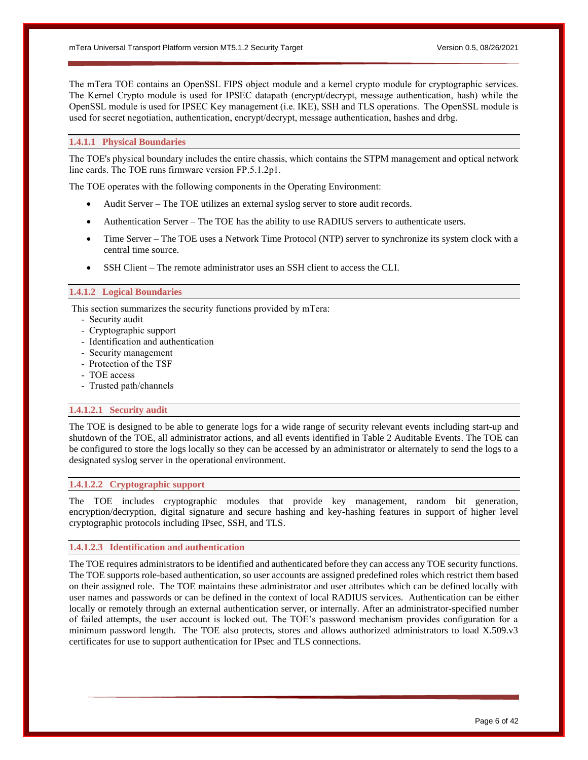The mTera TOE contains an OpenSSL FIPS object module and a kernel crypto module for cryptographic services. The Kernel Crypto module is used for IPSEC datapath (encrypt/decrypt, message authentication, hash) while the OpenSSL module is used for IPSEC Key management (i.e. IKE), SSH and TLS operations. The OpenSSL module is used for secret negotiation, authentication, encrypt/decrypt, message authentication, hashes and drbg.

# **1.4.1.1 Physical Boundaries**

The TOE's physical boundary includes the entire chassis, which contains the STPM management and optical network line cards. The TOE runs firmware version FP.5.1.2p1.

The TOE operates with the following components in the Operating Environment:

- Audit Server The TOE utilizes an external syslog server to store audit records.
- Authentication Server The TOE has the ability to use RADIUS servers to authenticate users.
- Time Server The TOE uses a Network Time Protocol (NTP) server to synchronize its system clock with a central time source.
- SSH Client The remote administrator uses an SSH client to access the CLI.

#### **1.4.1.2 Logical Boundaries**

This section summarizes the security functions provided by mTera:

- Security audit
- Cryptographic support
- Identification and authentication
- Security management
- Protection of the TSF
- TOE access
- Trusted path/channels

### **1.4.1.2.1 Security audit**

The TOE is designed to be able to generate logs for a wide range of security relevant events including start-up and shutdown of the TOE, all administrator actions, and all events identified in Table 2 Auditable Events. The TOE can be configured to store the logs locally so they can be accessed by an administrator or alternately to send the logs to a designated syslog server in the operational environment.

### **1.4.1.2.2 Cryptographic support**

The TOE includes cryptographic modules that provide key management, random bit generation, encryption/decryption, digital signature and secure hashing and key-hashing features in support of higher level cryptographic protocols including IPsec, SSH, and TLS.

#### **1.4.1.2.3 Identification and authentication**

The TOE requires administrators to be identified and authenticated before they can access any TOE security functions. The TOE supports role-based authentication, so user accounts are assigned predefined roles which restrict them based on their assigned role. The TOE maintains these administrator and user attributes which can be defined locally with user names and passwords or can be defined in the context of local RADIUS services. Authentication can be either locally or remotely through an external authentication server, or internally. After an administrator-specified number of failed attempts, the user account is locked out. The TOE's password mechanism provides configuration for a minimum password length. The TOE also protects, stores and allows authorized administrators to load X.509.v3 certificates for use to support authentication for IPsec and TLS connections.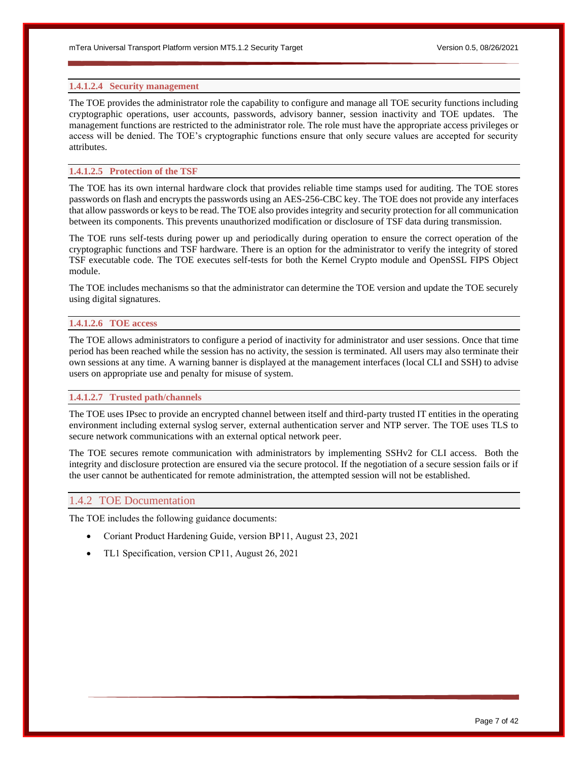#### **1.4.1.2.4 Security management**

The TOE provides the administrator role the capability to configure and manage all TOE security functions including cryptographic operations, user accounts, passwords, advisory banner, session inactivity and TOE updates. The management functions are restricted to the administrator role. The role must have the appropriate access privileges or access will be denied. The TOE's cryptographic functions ensure that only secure values are accepted for security attributes.

#### **1.4.1.2.5 Protection of the TSF**

The TOE has its own internal hardware clock that provides reliable time stamps used for auditing. The TOE stores passwords on flash and encrypts the passwords using an AES-256-CBC key. The TOE does not provide any interfaces that allow passwords or keys to be read. The TOE also provides integrity and security protection for all communication between its components. This prevents unauthorized modification or disclosure of TSF data during transmission.

The TOE runs self-tests during power up and periodically during operation to ensure the correct operation of the cryptographic functions and TSF hardware. There is an option for the administrator to verify the integrity of stored TSF executable code. The TOE executes self-tests for both the Kernel Crypto module and OpenSSL FIPS Object module.

The TOE includes mechanisms so that the administrator can determine the TOE version and update the TOE securely using digital signatures.

#### **1.4.1.2.6 TOE access**

The TOE allows administrators to configure a period of inactivity for administrator and user sessions. Once that time period has been reached while the session has no activity, the session is terminated. All users may also terminate their own sessions at any time. A warning banner is displayed at the management interfaces (local CLI and SSH) to advise users on appropriate use and penalty for misuse of system.

#### **1.4.1.2.7 Trusted path/channels**

The TOE uses IPsec to provide an encrypted channel between itself and third-party trusted IT entities in the operating environment including external syslog server, external authentication server and NTP server. The TOE uses TLS to secure network communications with an external optical network peer.

The TOE secures remote communication with administrators by implementing SSHv2 for CLI access. Both the integrity and disclosure protection are ensured via the secure protocol. If the negotiation of a secure session fails or if the user cannot be authenticated for remote administration, the attempted session will not be established.

#### <span id="page-6-0"></span>1.4.2 TOE Documentation

The TOE includes the following guidance documents:

- Coriant Product Hardening Guide, version BP11, August 23, 2021
- TL1 Specification, version CP11, August 26, 2021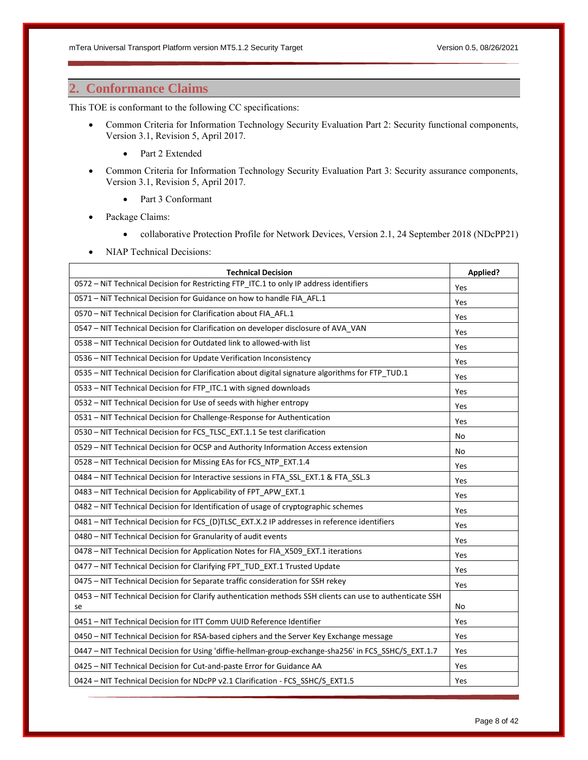# <span id="page-7-0"></span>**2. Conformance Claims**

This TOE is conformant to the following CC specifications:

- Common Criteria for Information Technology Security Evaluation Part 2: Security functional components, Version 3.1, Revision 5, April 2017.
	- Part 2 Extended
- Common Criteria for Information Technology Security Evaluation Part 3: Security assurance components, Version 3.1, Revision 5, April 2017.
	- Part 3 Conformant
- Package Claims:
	- collaborative Protection Profile for Network Devices, Version 2.1, 24 September 2018 (NDcPP21)
- NIAP Technical Decisions:

| <b>Technical Decision</b>                                                                                | Applied? |
|----------------------------------------------------------------------------------------------------------|----------|
| 0572 - NiT Technical Decision for Restricting FTP_ITC.1 to only IP address identifiers                   | Yes      |
| 0571 - NiT Technical Decision for Guidance on how to handle FIA AFL.1                                    | Yes      |
| 0570 - NiT Technical Decision for Clarification about FIA AFL.1                                          | Yes      |
| 0547 - NIT Technical Decision for Clarification on developer disclosure of AVA_VAN                       | Yes      |
| 0538 - NIT Technical Decision for Outdated link to allowed-with list                                     | Yes      |
| 0536 - NIT Technical Decision for Update Verification Inconsistency                                      | Yes      |
| 0535 - NIT Technical Decision for Clarification about digital signature algorithms for FTP TUD.1         | Yes      |
| 0533 - NIT Technical Decision for FTP_ITC.1 with signed downloads                                        | Yes      |
| 0532 - NIT Technical Decision for Use of seeds with higher entropy                                       | Yes      |
| 0531 - NIT Technical Decision for Challenge-Response for Authentication                                  | Yes      |
| 0530 - NIT Technical Decision for FCS_TLSC_EXT.1.1 5e test clarification                                 | No       |
| 0529 - NIT Technical Decision for OCSP and Authority Information Access extension                        | No       |
| 0528 - NIT Technical Decision for Missing EAs for FCS_NTP_EXT.1.4                                        | Yes      |
| 0484 - NIT Technical Decision for Interactive sessions in FTA SSL EXT.1 & FTA SSL.3                      | Yes      |
| 0483 - NIT Technical Decision for Applicability of FPT_APW_EXT.1                                         | Yes      |
| 0482 - NIT Technical Decision for Identification of usage of cryptographic schemes                       | Yes      |
| 0481 - NIT Technical Decision for FCS_(D)TLSC_EXT.X.2 IP addresses in reference identifiers              | Yes      |
| 0480 - NIT Technical Decision for Granularity of audit events                                            | Yes      |
| 0478 - NIT Technical Decision for Application Notes for FIA_X509_EXT.1 iterations                        | Yes      |
| 0477 - NIT Technical Decision for Clarifying FPT_TUD_EXT.1 Trusted Update                                | Yes      |
| 0475 - NIT Technical Decision for Separate traffic consideration for SSH rekey                           | Yes      |
| 0453 - NIT Technical Decision for Clarify authentication methods SSH clients can use to authenticate SSH |          |
| se                                                                                                       | No       |
| 0451 - NIT Technical Decision for ITT Comm UUID Reference Identifier                                     | Yes      |
| 0450 - NIT Technical Decision for RSA-based ciphers and the Server Key Exchange message                  | Yes      |
| 0447 - NIT Technical Decision for Using 'diffie-hellman-group-exchange-sha256' in FCS_SSHC/S_EXT.1.7     | Yes      |
| 0425 - NIT Technical Decision for Cut-and-paste Error for Guidance AA                                    | Yes      |
| 0424 - NIT Technical Decision for NDcPP v2.1 Clarification - FCS_SSHC/S_EXT1.5                           | Yes      |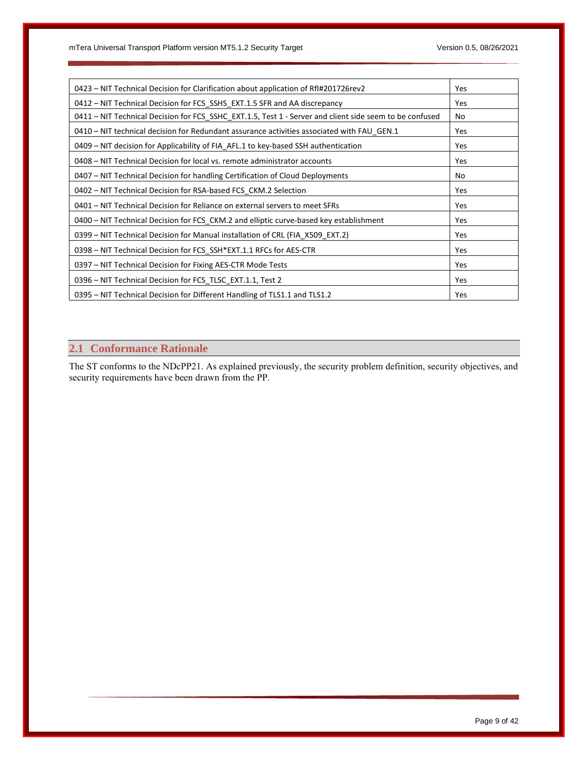| Yes |
|-----|
| Yes |
| No  |
| Yes |
| Yes |
| Yes |
| No  |
| Yes |
| Yes |
| Yes |
| Yes |
| Yes |
| Yes |
| Yes |
| Yes |
|     |

# <span id="page-8-0"></span>**2.1 Conformance Rationale**

The ST conforms to the NDcPP21. As explained previously, the security problem definition, security objectives, and security requirements have been drawn from the PP.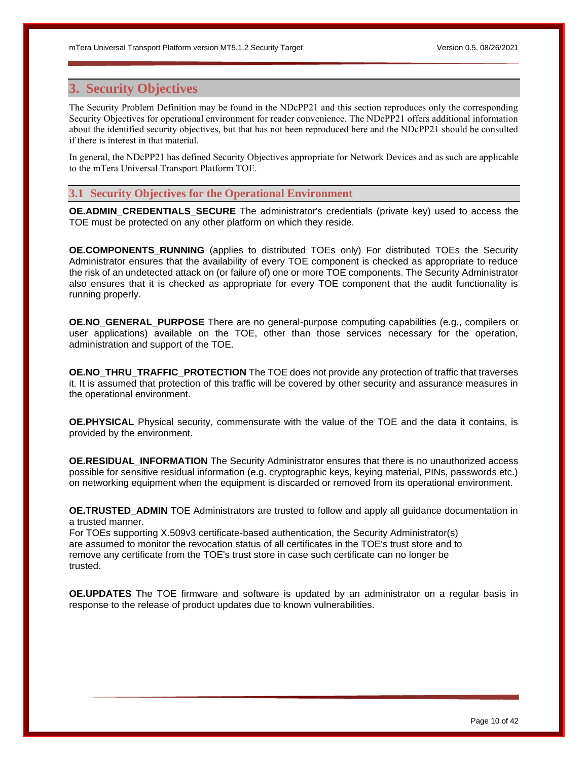# <span id="page-9-0"></span>**3. Security Objectives**

The Security Problem Definition may be found in the NDcPP21 and this section reproduces only the corresponding Security Objectives for operational environment for reader convenience. The NDcPP21 offers additional information about the identified security objectives, but that has not been reproduced here and the NDcPP21 should be consulted if there is interest in that material.

In general, the NDcPP21 has defined Security Objectives appropriate for Network Devices and as such are applicable to the mTera Universal Transport Platform TOE.

# <span id="page-9-1"></span>**3.1 Security Objectives for the Operational Environment**

**OE.ADMIN\_CREDENTIALS\_SECURE** The administrator's credentials (private key) used to access the TOE must be protected on any other platform on which they reside.

**OE.COMPONENTS RUNNING** (applies to distributed TOEs only) For distributed TOEs the Security Administrator ensures that the availability of every TOE component is checked as appropriate to reduce the risk of an undetected attack on (or failure of) one or more TOE components. The Security Administrator also ensures that it is checked as appropriate for every TOE component that the audit functionality is running properly.

**OE.NO\_GENERAL\_PURPOSE** There are no general-purpose computing capabilities (e.g., compilers or user applications) available on the TOE, other than those services necessary for the operation, administration and support of the TOE.

**OE.NO\_THRU\_TRAFFIC\_PROTECTION** The TOE does not provide any protection of traffic that traverses it. It is assumed that protection of this traffic will be covered by other security and assurance measures in the operational environment.

**OE.PHYSICAL** Physical security, commensurate with the value of the TOE and the data it contains, is provided by the environment.

**OE.RESIDUAL\_INFORMATION** The Security Administrator ensures that there is no unauthorized access possible for sensitive residual information (e.g. cryptographic keys, keying material, PINs, passwords etc.) on networking equipment when the equipment is discarded or removed from its operational environment.

**OE.TRUSTED ADMIN** TOE Administrators are trusted to follow and apply all guidance documentation in a trusted manner.

For TOEs supporting X.509v3 certificate-based authentication, the Security Administrator(s) are assumed to monitor the revocation status of all certificates in the TOE's trust store and to remove any certificate from the TOE's trust store in case such certificate can no longer be trusted.

**OE.UPDATES** The TOE firmware and software is updated by an administrator on a regular basis in response to the release of product updates due to known vulnerabilities.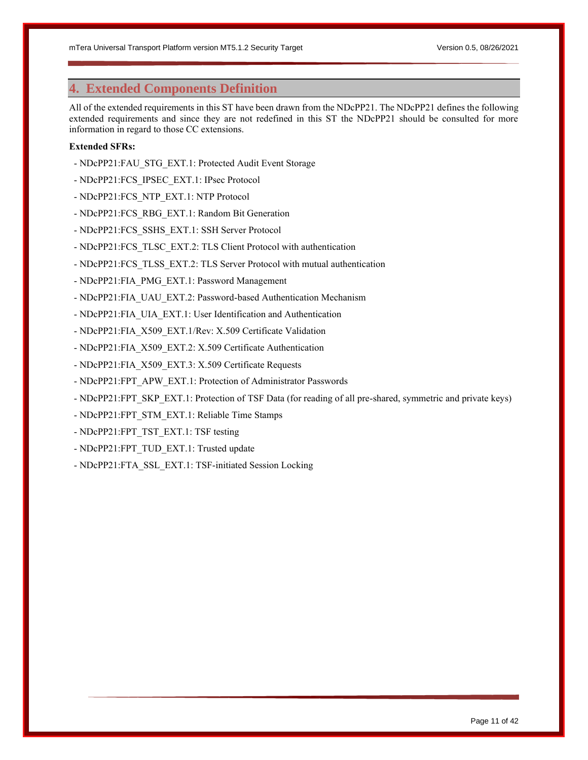# <span id="page-10-0"></span>**4. Extended Components Definition**

All of the extended requirements in this ST have been drawn from the NDcPP21. The NDcPP21 defines the following extended requirements and since they are not redefined in this ST the NDcPP21 should be consulted for more information in regard to those CC extensions.

# **Extended SFRs:**

- NDcPP21:FAU\_STG\_EXT.1: Protected Audit Event Storage
- NDcPP21:FCS\_IPSEC\_EXT.1: IPsec Protocol
- NDcPP21:FCS\_NTP\_EXT.1: NTP Protocol
- NDcPP21:FCS\_RBG\_EXT.1: Random Bit Generation
- NDcPP21:FCS\_SSHS\_EXT.1: SSH Server Protocol
- NDcPP21:FCS\_TLSC\_EXT.2: TLS Client Protocol with authentication
- NDcPP21:FCS\_TLSS\_EXT.2: TLS Server Protocol with mutual authentication
- NDcPP21:FIA\_PMG\_EXT.1: Password Management
- NDcPP21:FIA\_UAU\_EXT.2: Password-based Authentication Mechanism
- NDcPP21:FIA\_UIA\_EXT.1: User Identification and Authentication
- NDcPP21:FIA\_X509\_EXT.1/Rev: X.509 Certificate Validation
- NDcPP21:FIA\_X509\_EXT.2: X.509 Certificate Authentication
- NDcPP21:FIA\_X509\_EXT.3: X.509 Certificate Requests
- NDcPP21:FPT\_APW\_EXT.1: Protection of Administrator Passwords
- NDcPP21:FPT\_SKP\_EXT.1: Protection of TSF Data (for reading of all pre-shared, symmetric and private keys)
- NDcPP21:FPT\_STM\_EXT.1: Reliable Time Stamps
- NDcPP21:FPT\_TST\_EXT.1: TSF testing
- NDcPP21:FPT\_TUD\_EXT.1: Trusted update
- NDcPP21:FTA\_SSL\_EXT.1: TSF-initiated Session Locking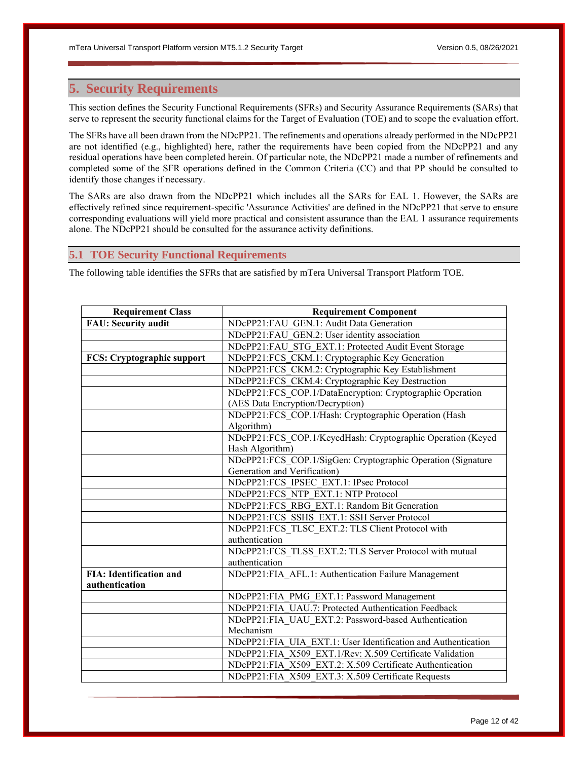# <span id="page-11-0"></span>**5. Security Requirements**

This section defines the Security Functional Requirements (SFRs) and Security Assurance Requirements (SARs) that serve to represent the security functional claims for the Target of Evaluation (TOE) and to scope the evaluation effort.

The SFRs have all been drawn from the NDcPP21. The refinements and operations already performed in the NDcPP21 are not identified (e.g., highlighted) here, rather the requirements have been copied from the NDcPP21 and any residual operations have been completed herein. Of particular note, the NDcPP21 made a number of refinements and completed some of the SFR operations defined in the Common Criteria (CC) and that PP should be consulted to identify those changes if necessary.

The SARs are also drawn from the NDcPP21 which includes all the SARs for EAL 1. However, the SARs are effectively refined since requirement-specific 'Assurance Activities' are defined in the NDcPP21 that serve to ensure corresponding evaluations will yield more practical and consistent assurance than the EAL 1 assurance requirements alone. The NDcPP21 should be consulted for the assurance activity definitions.

# <span id="page-11-1"></span>**5.1 TOE Security Functional Requirements**

The following table identifies the SFRs that are satisfied by mTera Universal Transport Platform TOE.

| <b>Requirement Class</b>          | <b>Requirement Component</b>                                  |  |  |
|-----------------------------------|---------------------------------------------------------------|--|--|
| <b>FAU: Security audit</b>        | NDcPP21:FAU GEN.1: Audit Data Generation                      |  |  |
|                                   | NDcPP21:FAU GEN.2: User identity association                  |  |  |
|                                   | NDcPP21:FAU STG EXT.1: Protected Audit Event Storage          |  |  |
| <b>FCS: Cryptographic support</b> | NDcPP21:FCS CKM.1: Cryptographic Key Generation               |  |  |
|                                   | NDcPP21:FCS CKM.2: Cryptographic Key Establishment            |  |  |
|                                   | NDcPP21:FCS CKM.4: Cryptographic Key Destruction              |  |  |
|                                   | NDcPP21:FCS COP.1/DataEncryption: Cryptographic Operation     |  |  |
|                                   | (AES Data Encryption/Decryption)                              |  |  |
|                                   | NDcPP21:FCS COP.1/Hash: Cryptographic Operation (Hash         |  |  |
|                                   | Algorithm)                                                    |  |  |
|                                   | NDcPP21:FCS COP.1/KeyedHash: Cryptographic Operation (Keyed   |  |  |
|                                   | Hash Algorithm)                                               |  |  |
|                                   | NDcPP21:FCS_COP.1/SigGen: Cryptographic Operation (Signature  |  |  |
|                                   | Generation and Verification)                                  |  |  |
|                                   | NDcPP21:FCS IPSEC EXT.1: IPsec Protocol                       |  |  |
|                                   | NDcPP21:FCS NTP EXT.1: NTP Protocol                           |  |  |
|                                   | NDcPP21:FCS RBG EXT.1: Random Bit Generation                  |  |  |
|                                   | NDcPP21:FCS SSHS EXT.1: SSH Server Protocol                   |  |  |
|                                   | NDcPP21:FCS TLSC EXT.2: TLS Client Protocol with              |  |  |
|                                   | authentication                                                |  |  |
|                                   | NDcPP21:FCS_TLSS_EXT.2: TLS Server Protocol with mutual       |  |  |
|                                   | authentication                                                |  |  |
| <b>FIA: Identification and</b>    | NDcPP21:FIA_AFL.1: Authentication Failure Management          |  |  |
| authentication                    |                                                               |  |  |
|                                   | NDcPP21:FIA PMG EXT.1: Password Management                    |  |  |
|                                   | NDcPP21:FIA UAU.7: Protected Authentication Feedback          |  |  |
|                                   | NDcPP21:FIA_UAU_EXT.2: Password-based Authentication          |  |  |
|                                   | Mechanism                                                     |  |  |
|                                   | NDcPP21:FIA UIA EXT.1: User Identification and Authentication |  |  |
|                                   | NDcPP21:FIA X509 EXT.1/Rev: X.509 Certificate Validation      |  |  |
|                                   | NDcPP21:FIA X509 EXT.2: X.509 Certificate Authentication      |  |  |
|                                   | NDcPP21:FIA X509 EXT.3: X.509 Certificate Requests            |  |  |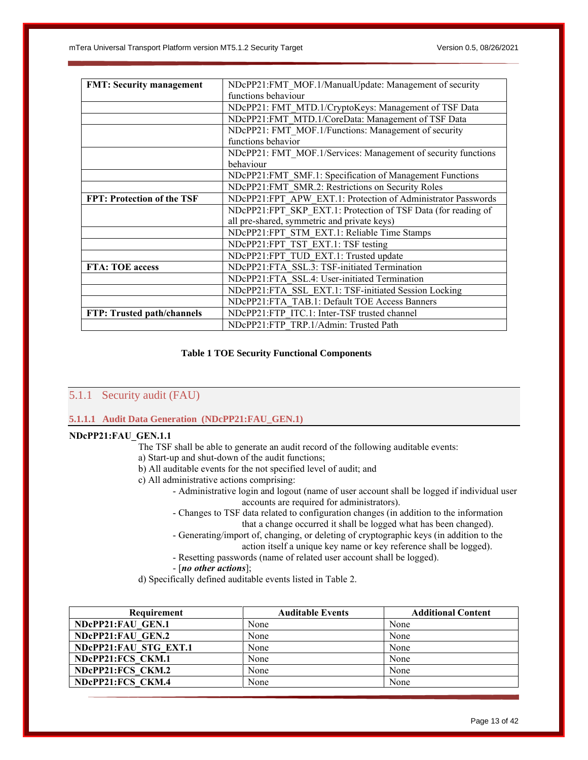| <b>FMT: Security management</b>   | NDcPP21:FMT MOF.1/ManualUpdate: Management of security        |  |  |
|-----------------------------------|---------------------------------------------------------------|--|--|
|                                   | functions behaviour                                           |  |  |
|                                   | NDcPP21: FMT MTD.1/CryptoKeys: Management of TSF Data         |  |  |
|                                   | NDcPP21:FMT MTD.1/CoreData: Management of TSF Data            |  |  |
|                                   | NDcPP21: FMT MOF.1/Functions: Management of security          |  |  |
|                                   | functions behavior                                            |  |  |
|                                   | NDcPP21: FMT MOF.1/Services: Management of security functions |  |  |
|                                   | behaviour                                                     |  |  |
|                                   | NDcPP21:FMT SMF.1: Specification of Management Functions      |  |  |
|                                   | NDcPP21:FMT SMR.2: Restrictions on Security Roles             |  |  |
| <b>FPT: Protection of the TSF</b> | NDcPP21:FPT APW EXT.1: Protection of Administrator Passwords  |  |  |
|                                   | NDcPP21:FPT SKP EXT.1: Protection of TSF Data (for reading of |  |  |
|                                   | all pre-shared, symmetric and private keys)                   |  |  |
|                                   | NDcPP21:FPT STM EXT.1: Reliable Time Stamps                   |  |  |
|                                   | NDcPP21:FPT TST EXT.1: TSF testing                            |  |  |
|                                   | NDcPP21:FPT TUD EXT.1: Trusted update                         |  |  |
| FTA: TOE access                   | NDcPP21:FTA SSL.3: TSF-initiated Termination                  |  |  |
|                                   | NDcPP21:FTA SSL.4: User-initiated Termination                 |  |  |
|                                   | NDcPP21:FTA SSL EXT.1: TSF-initiated Session Locking          |  |  |
|                                   | NDcPP21:FTA TAB.1: Default TOE Access Banners                 |  |  |
| FTP: Trusted path/channels        | NDcPP21:FTP ITC.1: Inter-TSF trusted channel                  |  |  |
|                                   | NDcPP21:FTP TRP.1/Admin: Trusted Path                         |  |  |

# **Table 1 TOE Security Functional Components**

# <span id="page-12-1"></span><span id="page-12-0"></span>5.1.1 Security audit (FAU)

# **5.1.1.1 Audit Data Generation (NDcPP21:FAU\_GEN.1)**

# **NDcPP21:FAU\_GEN.1.1**

- The TSF shall be able to generate an audit record of the following auditable events:
- a) Start-up and shut-down of the audit functions;
- b) All auditable events for the not specified level of audit; and
- c) All administrative actions comprising:
	- Administrative login and logout (name of user account shall be logged if individual user accounts are required for administrators).
		- Changes to TSF data related to configuration changes (in addition to the information that a change occurred it shall be logged what has been changed).
		- Generating/import of, changing, or deleting of cryptographic keys (in addition to the action itself a unique key name or key reference shall be logged).
		-
	- Resetting passwords (name of related user account shall be logged).
	- [*no other actions*];
- d) Specifically defined auditable events listed in Table 2.

| <b>Requirement</b>    | <b>Auditable Events</b> | <b>Additional Content</b> |
|-----------------------|-------------------------|---------------------------|
| NDcPP21:FAU GEN.1     | None                    | None                      |
| NDcPP21:FAU GEN.2     | None                    | None                      |
| NDCPP21:FAU STG EXT.1 | None                    | None                      |
| NDcPP21:FCS CKM.1     | None                    | None                      |
| NDcPP21:FCS CKM.2     | None                    | None                      |
| NDcPP21:FCS CKM.4     | None                    | None                      |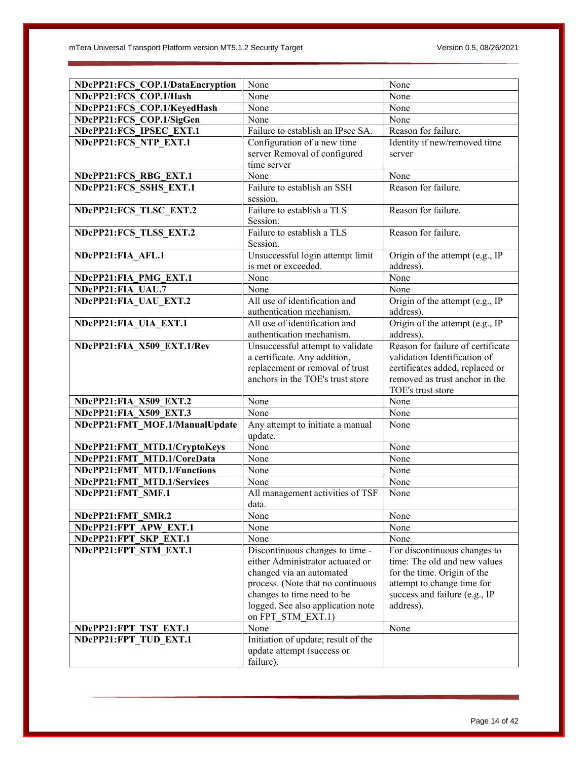| NDcPP21:FCS COP.1/DataEncryption                           | None                                      | None                              |
|------------------------------------------------------------|-------------------------------------------|-----------------------------------|
| NDcPP21:FCS COP.1/Hash                                     | None                                      | None                              |
| NDcPP21:FCS COP.1/KeyedHash                                | None                                      | None                              |
| NDcPP21:FCS_COP.1/SigGen                                   | None                                      | None                              |
| NDcPP21:FCS IPSEC EXT.1                                    | Failure to establish an IPsec SA.         | Reason for failure.               |
| NDcPP21:FCS NTP EXT.1                                      | Configuration of a new time               | Identity if new/removed time      |
|                                                            | server Removal of configured              | server                            |
|                                                            | time server                               |                                   |
| NDcPP21:FCS RBG EXT.1                                      | None                                      | None                              |
| NDcPP21:FCS SSHS EXT.1                                     | Failure to establish an SSH               | Reason for failure.               |
|                                                            | session.                                  |                                   |
| NDcPP21:FCS TLSC EXT.2                                     | Failure to establish a TLS                | Reason for failure.               |
|                                                            | Session.                                  |                                   |
| NDcPP21:FCS_TLSS_EXT.2                                     | Failure to establish a TLS                | Reason for failure.               |
|                                                            | Session.                                  |                                   |
| NDcPP21:FIA AFL.1                                          | Unsuccessful login attempt limit          | Origin of the attempt (e.g., IP   |
|                                                            | is met or exceeded.                       | address).                         |
| NDcPP21:FIA PMG EXT.1                                      | None                                      | None                              |
| NDcPP21:FIA UAU.7                                          | None                                      | None                              |
| NDcPP21:FIA_UAU_EXT.2                                      | All use of identification and             | Origin of the attempt (e.g., IP   |
|                                                            | authentication mechanism.                 | address).                         |
| NDcPP21:FIA_UIA_EXT.1                                      | All use of identification and             | Origin of the attempt (e.g., IP   |
|                                                            | authentication mechanism.                 | address).                         |
| NDcPP21:FIA_X509_EXT.1/Rev                                 | Unsuccessful attempt to validate          | Reason for failure of certificate |
|                                                            | a certificate. Any addition,              | validation Identification of      |
|                                                            | replacement or removal of trust           | certificates added, replaced or   |
|                                                            | anchors in the TOE's trust store          | removed as trust anchor in the    |
|                                                            |                                           | TOE's trust store                 |
| NDcPP21:FIA X509 EXT.2                                     | None                                      | None                              |
| NDcPP21:FIA X509 EXT.3                                     | None                                      | None                              |
| NDcPP21:FMT MOF.1/ManualUpdate                             | Any attempt to initiate a manual          | None                              |
|                                                            | update.<br>None                           | None                              |
| NDcPP21:FMT_MTD.1/CryptoKeys<br>NDcPP21:FMT MTD.1/CoreData | None                                      | None                              |
| NDcPP21:FMT MTD.1/Functions                                | None                                      | None                              |
|                                                            |                                           |                                   |
| NDcPP21:FMT MTD.1/Services                                 | None                                      | None                              |
| NDcPP21:FMT_SMF.1                                          | All management activities of TSF<br>data. | None                              |
| NDcPP21:FMT SMR.2                                          | None                                      | None                              |
| NDcPP21:FPT APW EXT.1                                      | None                                      | None                              |
| NDcPP21:FPT SKP EXT.1                                      | None                                      | None                              |
| NDcPP21:FPT STM EXT.1                                      | Discontinuous changes to time -           | For discontinuous changes to      |
|                                                            | either Administrator actuated or          | time: The old and new values      |
|                                                            | changed via an automated                  | for the time. Origin of the       |
|                                                            | process. (Note that no continuous         | attempt to change time for        |
|                                                            | changes to time need to be                | success and failure (e.g., IP     |
|                                                            | logged. See also application note         | address).                         |
|                                                            | on FPT STM EXT.1)                         |                                   |
| NDcPP21:FPT TST EXT.1                                      | None                                      | None                              |
| NDcPP21:FPT_TUD_EXT.1                                      | Initiation of update; result of the       |                                   |
|                                                            | update attempt (success or                |                                   |
|                                                            | failure).                                 |                                   |
|                                                            |                                           |                                   |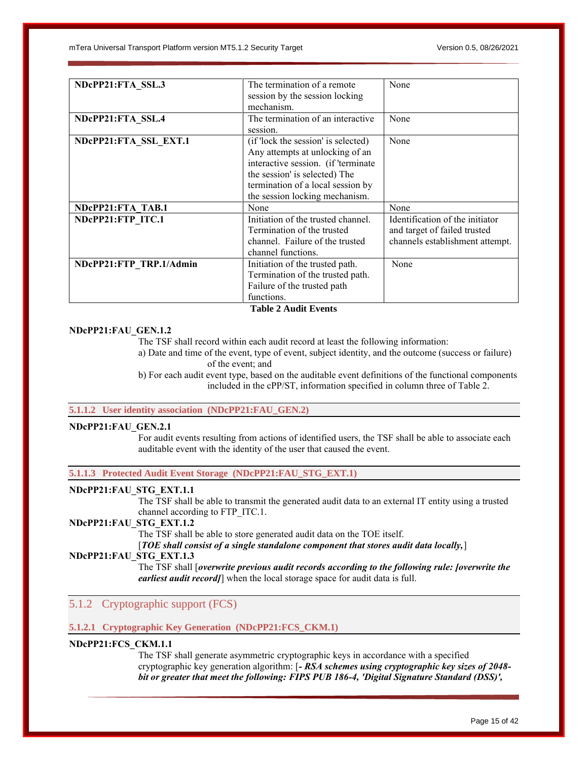| NDcPP21:FTA SSL.3       | The termination of a remote         | None                            |
|-------------------------|-------------------------------------|---------------------------------|
|                         | session by the session locking      |                                 |
|                         | mechanism.                          |                                 |
| NDcPP21:FTA SSL.4       | The termination of an interactive   | None                            |
|                         | session.                            |                                 |
| NDcPP21:FTA SSL EXT.1   | (if 'lock the session' is selected) | None                            |
|                         | Any attempts at unlocking of an     |                                 |
|                         | interactive session. (if 'terminate |                                 |
|                         | the session' is selected) The       |                                 |
|                         | termination of a local session by   |                                 |
|                         | the session locking mechanism.      |                                 |
| NDcPP21:FTA TAB.1       | None                                | None                            |
| NDcPP21:FTP ITC.1       | Initiation of the trusted channel.  | Identification of the initiator |
|                         | Termination of the trusted          | and target of failed trusted    |
|                         | channel. Failure of the trusted     | channels establishment attempt. |
|                         | channel functions.                  |                                 |
| NDcPP21:FTP TRP.1/Admin | Initiation of the trusted path.     | None                            |
|                         | Termination of the trusted path.    |                                 |
|                         | Failure of the trusted path         |                                 |
|                         | functions.                          |                                 |

# **Table 2 Audit Events**

#### <span id="page-14-1"></span>**NDcPP21:FAU\_GEN.1.2**

The TSF shall record within each audit record at least the following information:

a) Date and time of the event, type of event, subject identity, and the outcome (success or failure) of the event; and

b) For each audit event type, based on the auditable event definitions of the functional components included in the cPP/ST, information specified in column three of Table 2.

### **5.1.1.2 User identity association (NDcPP21:FAU\_GEN.2)**

#### **NDcPP21:FAU\_GEN.2.1**

For audit events resulting from actions of identified users, the TSF shall be able to associate each auditable event with the identity of the user that caused the event.

**5.1.1.3 Protected Audit Event Storage (NDcPP21:FAU\_STG\_EXT.1)**

# **NDcPP21:FAU\_STG\_EXT.1.1**

The TSF shall be able to transmit the generated audit data to an external IT entity using a trusted channel according to FTP\_ITC.1.

# **NDcPP21:FAU\_STG\_EXT.1.2**

The TSF shall be able to store generated audit data on the TOE itself.

[*TOE shall consist of a single standalone component that stores audit data locally,*]

# **NDcPP21:FAU\_STG\_EXT.1.3**

The TSF shall [*overwrite previous audit records according to the following rule: [overwrite the earliest audit record]*] when the local storage space for audit data is full.

# <span id="page-14-0"></span>5.1.2 Cryptographic support (FCS)

#### **5.1.2.1 Cryptographic Key Generation (NDcPP21:FCS\_CKM.1)**

# **NDcPP21:FCS\_CKM.1.1**

The TSF shall generate asymmetric cryptographic keys in accordance with a specified cryptographic key generation algorithm: [*- RSA schemes using cryptographic key sizes of 2048 bit or greater that meet the following: FIPS PUB 186-4, 'Digital Signature Standard (DSS)',*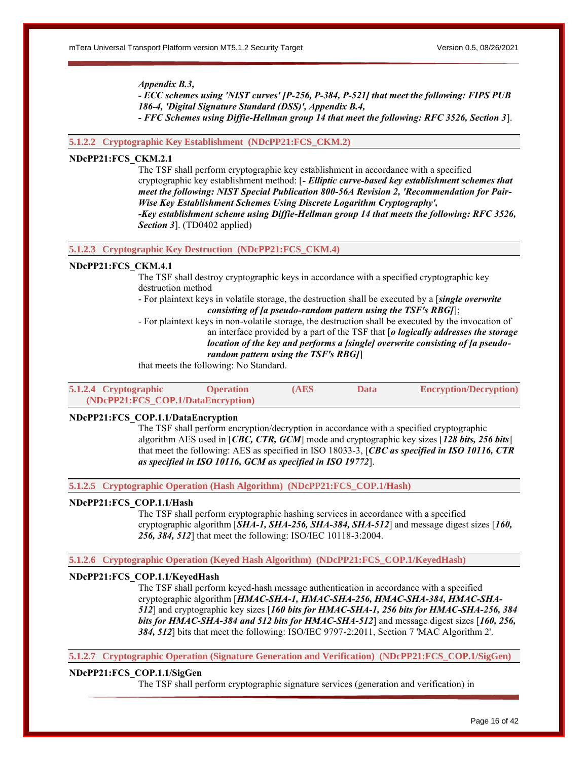#### *Appendix B.3,*

*- ECC schemes using 'NIST curves' [P-256, P-384, P-521] that meet the following: FIPS PUB 186-4, 'Digital Signature Standard (DSS)', Appendix B.4,*

*- FFC Schemes using Diffie-Hellman group 14 that meet the following: RFC 3526, Section 3*].

# **5.1.2.2 Cryptographic Key Establishment (NDcPP21:FCS\_CKM.2)**

# **NDcPP21:FCS\_CKM.2.1**

The TSF shall perform cryptographic key establishment in accordance with a specified cryptographic key establishment method: [*- Elliptic curve-based key establishment schemes that meet the following: NIST Special Publication 800-56A Revision 2, 'Recommendation for Pair-Wise Key Establishment Schemes Using Discrete Logarithm Cryptography', -Key establishment scheme using Diffie-Hellman group 14 that meets the following: RFC 3526, Section 3*]. (TD0402 applied)

**5.1.2.3 Cryptographic Key Destruction (NDcPP21:FCS\_CKM.4)**

### **NDcPP21:FCS\_CKM.4.1**

The TSF shall destroy cryptographic keys in accordance with a specified cryptographic key destruction method

- For plaintext keys in volatile storage, the destruction shall be executed by a [*single overwrite consisting of [a pseudo-random pattern using the TSF's RBG]*];

- For plaintext keys in non-volatile storage, the destruction shall be executed by the invocation of an interface provided by a part of the TSF that [*o logically addresses the storage* 

*location of the key and performs a [single] overwrite consisting of [a pseudo-*

#### *random pattern using the TSF's RBG]*]

that meets the following: No Standard.

| 5.1.2.4 Cryptographic | <b>Operation</b>                   | (AES | Data | <b>Encryption/Decryption</b> ) |
|-----------------------|------------------------------------|------|------|--------------------------------|
|                       | (NDcPP21:FCS COP.1/DataEncryption) |      |      |                                |

#### **NDcPP21:FCS\_COP.1.1/DataEncryption**

The TSF shall perform encryption/decryption in accordance with a specified cryptographic algorithm AES used in [*CBC, CTR, GCM*] mode and cryptographic key sizes [*128 bits, 256 bits*] that meet the following: AES as specified in ISO 18033-3, [*CBC as specified in ISO 10116, CTR as specified in ISO 10116, GCM as specified in ISO 19772*].

**5.1.2.5 Cryptographic Operation (Hash Algorithm) (NDcPP21:FCS\_COP.1/Hash)**

#### **NDcPP21:FCS\_COP.1.1/Hash**

The TSF shall perform cryptographic hashing services in accordance with a specified cryptographic algorithm [*SHA-1, SHA-256, SHA-384, SHA-512*] and message digest sizes [*160, 256, 384, 512*] that meet the following: ISO/IEC 10118-3:2004.

#### **5.1.2.6 Cryptographic Operation (Keyed Hash Algorithm) (NDcPP21:FCS\_COP.1/KeyedHash)**

# **NDcPP21:FCS\_COP.1.1/KeyedHash**

The TSF shall perform keyed-hash message authentication in accordance with a specified cryptographic algorithm [*HMAC-SHA-1, HMAC-SHA-256, HMAC-SHA-384, HMAC-SHA-512*] and cryptographic key sizes [*160 bits for HMAC-SHA-1, 256 bits for HMAC-SHA-256, 384 bits for HMAC-SHA-384 and 512 bits for HMAC-SHA-512*] and message digest sizes [*160, 256, 384, 512*] bits that meet the following: ISO/IEC 9797-2:2011, Section 7 'MAC Algorithm 2'.

**5.1.2.7 Cryptographic Operation (Signature Generation and Verification) (NDcPP21:FCS\_COP.1/SigGen)**

#### **NDcPP21:FCS\_COP.1.1/SigGen**

The TSF shall perform cryptographic signature services (generation and verification) in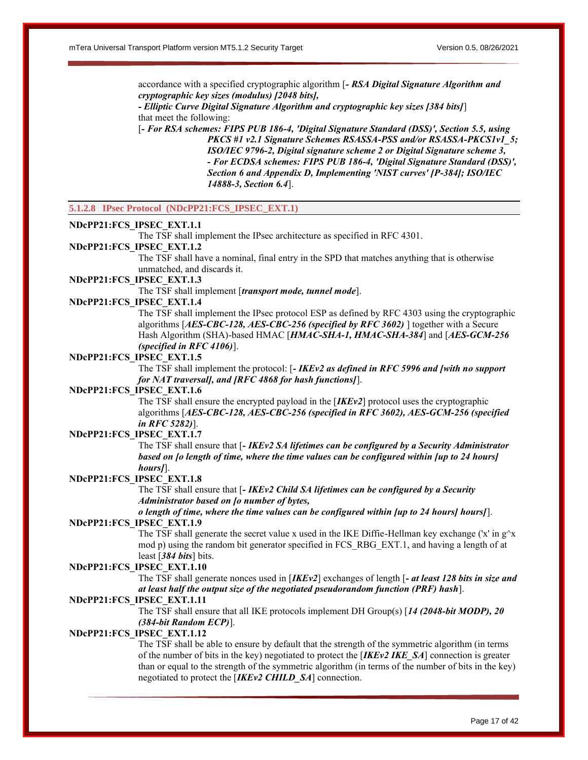accordance with a specified cryptographic algorithm [*- RSA Digital Signature Algorithm and cryptographic key sizes (modulus) [2048 bits],*

*- Elliptic Curve Digital Signature Algorithm and cryptographic key sizes [384 bits]*] that meet the following:

[*- For RSA schemes: FIPS PUB 186-4, 'Digital Signature Standard (DSS)', Section 5.5, using PKCS #1 v2.1 Signature Schemes RSASSA-PSS and/or RSASSA-PKCS1v1\_5; ISO/IEC 9796-2, Digital signature scheme 2 or Digital Signature scheme 3, - For ECDSA schemes: FIPS PUB 186-4, 'Digital Signature Standard (DSS)', Section 6 and Appendix D, Implementing 'NIST curves' [P-384]; ISO/IEC 14888-3, Section 6.4*].

### **5.1.2.8 IPsec Protocol (NDcPP21:FCS\_IPSEC\_EXT.1)**

#### **NDcPP21:FCS\_IPSEC\_EXT.1.1**

The TSF shall implement the IPsec architecture as specified in RFC 4301.

### **NDcPP21:FCS\_IPSEC\_EXT.1.2**

The TSF shall have a nominal, final entry in the SPD that matches anything that is otherwise unmatched, and discards it.

### **NDcPP21:FCS\_IPSEC\_EXT.1.3**

The TSF shall implement [*transport mode, tunnel mode*].

#### **NDcPP21:FCS\_IPSEC\_EXT.1.4**

The TSF shall implement the IPsec protocol ESP as defined by RFC 4303 using the cryptographic algorithms [*AES-CBC-128, AES-CBC-256 (specified by RFC 3602)* ] together with a Secure Hash Algorithm (SHA)-based HMAC [*HMAC-SHA-1, HMAC-SHA-384*] and [*AES-GCM-256 (specified in RFC 4106)*].

#### **NDcPP21:FCS\_IPSEC\_EXT.1.5**

The TSF shall implement the protocol: [*- IKEv2 as defined in RFC 5996 and [with no support for NAT traversal], and [RFC 4868 for hash functions]*].

### **NDcPP21:FCS\_IPSEC\_EXT.1.6**

The TSF shall ensure the encrypted payload in the [*IKEv2*] protocol uses the cryptographic algorithms [*AES-CBC-128, AES-CBC-256 (specified in RFC 3602), AES-GCM-256 (specified in RFC 5282)*].

# **NDcPP21:FCS\_IPSEC\_EXT.1.7**

The TSF shall ensure that [*- IKEv2 SA lifetimes can be configured by a Security Administrator based on [o length of time, where the time values can be configured within [up to 24 hours] hours]*].

# **NDcPP21:FCS\_IPSEC\_EXT.1.8**

The TSF shall ensure that [*- IKEv2 Child SA lifetimes can be configured by a Security Administrator based on [o number of bytes,*

# *o length of time, where the time values can be configured within [up to 24 hours] hours]*]. **NDcPP21:FCS\_IPSEC\_EXT.1.9**

The TSF shall generate the secret value x used in the IKE Diffie-Hellman key exchange ('x' in  $g^{\wedge}x$ ) mod p) using the random bit generator specified in FCS\_RBG\_EXT.1, and having a length of at least [*384 bits*] bits.

#### **NDcPP21:FCS\_IPSEC\_EXT.1.10**

The TSF shall generate nonces used in [*IKEv2*] exchanges of length [*- at least 128 bits in size and at least half the output size of the negotiated pseudorandom function (PRF) hash*].

### **NDcPP21:FCS\_IPSEC\_EXT.1.11**

The TSF shall ensure that all IKE protocols implement DH Group(s) [*14 (2048-bit MODP), 20 (384-bit Random ECP)*].

#### **NDcPP21:FCS\_IPSEC\_EXT.1.12**

The TSF shall be able to ensure by default that the strength of the symmetric algorithm (in terms of the number of bits in the key) negotiated to protect the [*IKEv2 IKE\_SA*] connection is greater than or equal to the strength of the symmetric algorithm (in terms of the number of bits in the key) negotiated to protect the [*IKEv2 CHILD\_SA*] connection.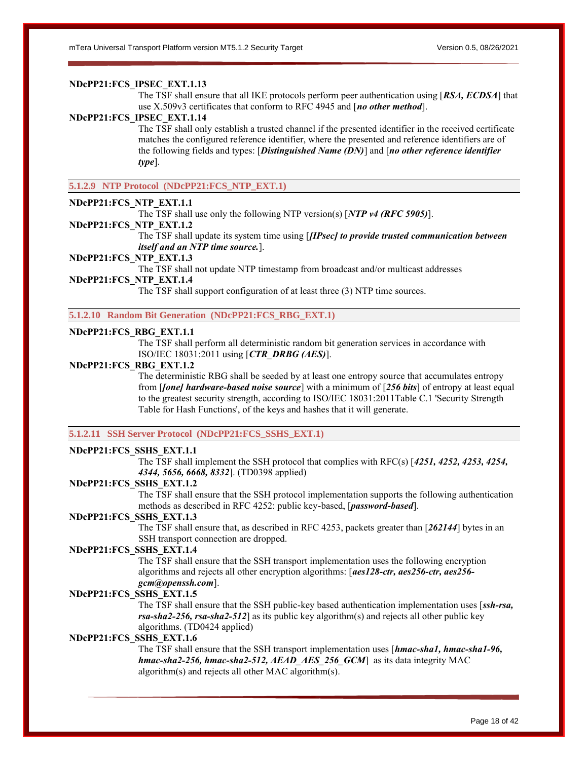# **NDcPP21:FCS\_IPSEC\_EXT.1.13**

The TSF shall ensure that all IKE protocols perform peer authentication using [*RSA, ECDSA*] that use X.509v3 certificates that conform to RFC 4945 and [*no other method*].

#### **NDcPP21:FCS\_IPSEC\_EXT.1.14**

The TSF shall only establish a trusted channel if the presented identifier in the received certificate matches the configured reference identifier, where the presented and reference identifiers are of the following fields and types: [*Distinguished Name (DN)*] and [*no other reference identifier type*].

**5.1.2.9 NTP Protocol (NDcPP21:FCS\_NTP\_EXT.1)**

# **NDcPP21:FCS\_NTP\_EXT.1.1**

The TSF shall use only the following NTP version(s) [*NTP v4 (RFC 5905)*].

#### **NDcPP21:FCS\_NTP\_EXT.1.2**

The TSF shall update its system time using [*[IPsec] to provide trusted communication between itself and an NTP time source.*].

#### **NDcPP21:FCS\_NTP\_EXT.1.3**

The TSF shall not update NTP timestamp from broadcast and/or multicast addresses

# **NDcPP21:FCS\_NTP\_EXT.1.4**

The TSF shall support configuration of at least three (3) NTP time sources.

**5.1.2.10 Random Bit Generation (NDcPP21:FCS\_RBG\_EXT.1)**

# **NDcPP21:FCS\_RBG\_EXT.1.1**

The TSF shall perform all deterministic random bit generation services in accordance with ISO/IEC 18031:2011 using [*CTR\_DRBG (AES)*].

#### **NDcPP21:FCS\_RBG\_EXT.1.2**

The deterministic RBG shall be seeded by at least one entropy source that accumulates entropy from [*[one] hardware-based noise source*] with a minimum of [*256 bits*] of entropy at least equal to the greatest security strength, according to ISO/IEC 18031:2011Table C.1 'Security Strength Table for Hash Functions', of the keys and hashes that it will generate.

### **5.1.2.11 SSH Server Protocol (NDcPP21:FCS\_SSHS\_EXT.1)**

#### **NDcPP21:FCS\_SSHS\_EXT.1.1**

The TSF shall implement the SSH protocol that complies with RFC(s) [*4251, 4252, 4253, 4254, 4344, 5656, 6668, 8332*]. (TD0398 applied)

#### **NDcPP21:FCS\_SSHS\_EXT.1.2**

The TSF shall ensure that the SSH protocol implementation supports the following authentication methods as described in RFC 4252: public key-based, [*password-based*].

# **NDcPP21:FCS\_SSHS\_EXT.1.3**

The TSF shall ensure that, as described in RFC 4253, packets greater than [*262144*] bytes in an SSH transport connection are dropped.

# **NDcPP21:FCS\_SSHS\_EXT.1.4**

The TSF shall ensure that the SSH transport implementation uses the following encryption algorithms and rejects all other encryption algorithms: [*aes128-ctr, aes256-ctr, aes256 gcm@openssh.com*].

#### **NDcPP21:FCS\_SSHS\_EXT.1.5**

The TSF shall ensure that the SSH public-key based authentication implementation uses [*ssh-rsa, rsa-sha2-256, rsa-sha2-512*] as its public key algorithm(s) and rejects all other public key algorithms. (TD0424 applied)

# **NDcPP21:FCS\_SSHS\_EXT.1.6**

The TSF shall ensure that the SSH transport implementation uses [*hmac-sha1, hmac-sha1-96, hmac-sha2-256, hmac-sha2-512, AEAD\_AES\_256\_GCM*] as its data integrity MAC algorithm(s) and rejects all other MAC algorithm(s).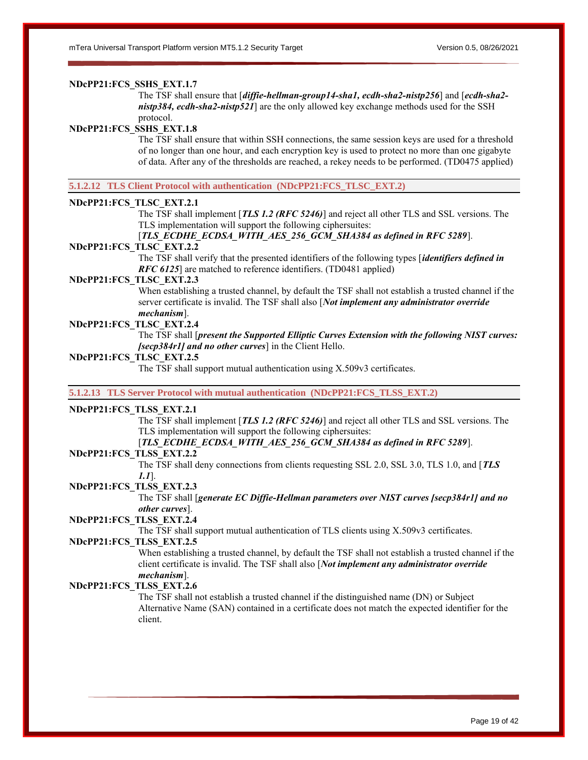# **NDcPP21:FCS\_SSHS\_EXT.1.7**

The TSF shall ensure that [*diffie-hellman-group14-sha1, ecdh-sha2-nistp256*] and [*ecdh-sha2 nistp384, ecdh-sha2-nistp521*] are the only allowed key exchange methods used for the SSH protocol.

# **NDcPP21:FCS\_SSHS\_EXT.1.8**

The TSF shall ensure that within SSH connections, the same session keys are used for a threshold of no longer than one hour, and each encryption key is used to protect no more than one gigabyte of data. After any of the thresholds are reached, a rekey needs to be performed. (TD0475 applied)

**5.1.2.12 TLS Client Protocol with authentication (NDcPP21:FCS\_TLSC\_EXT.2)**

#### **NDcPP21:FCS\_TLSC\_EXT.2.1**

The TSF shall implement [*TLS 1.2 (RFC 5246)*] and reject all other TLS and SSL versions. The TLS implementation will support the following ciphersuites:

[*TLS\_ECDHE\_ECDSA\_WITH\_AES\_256\_GCM\_SHA384 as defined in RFC 5289*].

# **NDcPP21:FCS\_TLSC\_EXT.2.2**

The TSF shall verify that the presented identifiers of the following types [*identifiers defined in RFC 6125*] are matched to reference identifiers. (TD0481 applied)

# **NDcPP21:FCS\_TLSC\_EXT.2.3**

When establishing a trusted channel, by default the TSF shall not establish a trusted channel if the server certificate is invalid. The TSF shall also [*Not implement any administrator override mechanism*].

# **NDcPP21:FCS\_TLSC\_EXT.2.4**

The TSF shall [*present the Supported Elliptic Curves Extension with the following NIST curves: [secp384r1] and no other curves*] in the Client Hello.

#### **NDcPP21:FCS\_TLSC\_EXT.2.5**

The TSF shall support mutual authentication using X.509v3 certificates.

**5.1.2.13 TLS Server Protocol with mutual authentication (NDcPP21:FCS\_TLSS\_EXT.2)**

# **NDcPP21:FCS\_TLSS\_EXT.2.1**

The TSF shall implement [*TLS 1.2 (RFC 5246)*] and reject all other TLS and SSL versions. The TLS implementation will support the following ciphersuites:

# [*TLS\_ECDHE\_ECDSA\_WITH\_AES\_256\_GCM\_SHA384 as defined in RFC 5289*].

# **NDcPP21:FCS\_TLSS\_EXT.2.2**

The TSF shall deny connections from clients requesting SSL 2.0, SSL 3.0, TLS 1.0, and [*TLS 1.1*].

#### **NDcPP21:FCS\_TLSS\_EXT.2.3**

The TSF shall [*generate EC Diffie-Hellman parameters over NIST curves [secp384r1] and no other curves*].

#### **NDcPP21:FCS\_TLSS\_EXT.2.4**

The TSF shall support mutual authentication of TLS clients using X.509v3 certificates.

#### **NDcPP21:FCS\_TLSS\_EXT.2.5**

When establishing a trusted channel, by default the TSF shall not establish a trusted channel if the client certificate is invalid. The TSF shall also [*Not implement any administrator override mechanism*].

### **NDcPP21:FCS\_TLSS\_EXT.2.6**

The TSF shall not establish a trusted channel if the distinguished name (DN) or Subject Alternative Name (SAN) contained in a certificate does not match the expected identifier for the client.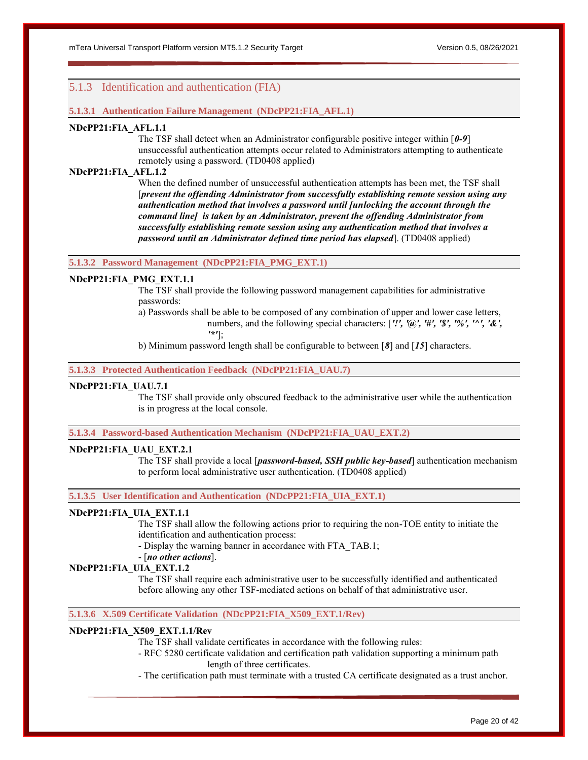# <span id="page-19-0"></span>5.1.3 Identification and authentication (FIA)

### **5.1.3.1 Authentication Failure Management (NDcPP21:FIA\_AFL.1)**

### **NDcPP21:FIA\_AFL.1.1**

The TSF shall detect when an Administrator configurable positive integer within [*0-9*] unsuccessful authentication attempts occur related to Administrators attempting to authenticate remotely using a password. (TD0408 applied)

# **NDcPP21:FIA\_AFL.1.2**

When the defined number of unsuccessful authentication attempts has been met, the TSF shall [*prevent the offending Administrator from successfully establishing remote session using any authentication method that involves a password until [unlocking the account through the command line] is taken by an Administrator, prevent the offending Administrator from successfully establishing remote session using any authentication method that involves a password until an Administrator defined time period has elapsed*]. (TD0408 applied)

#### **5.1.3.2 Password Management (NDcPP21:FIA\_PMG\_EXT.1)**

# **NDcPP21:FIA\_PMG\_EXT.1.1**

The TSF shall provide the following password management capabilities for administrative passwords:

- a) Passwords shall be able to be composed of any combination of upper and lower case letters, numbers, and the following special characters: [*'!', '@', '#', '\$', '%', '^', '&', '\*'*];
- b) Minimum password length shall be configurable to between [*8*] and [*15*] characters.

**5.1.3.3 Protected Authentication Feedback (NDcPP21:FIA\_UAU.7)**

# **NDcPP21:FIA\_UAU.7.1**

The TSF shall provide only obscured feedback to the administrative user while the authentication is in progress at the local console.

**5.1.3.4 Password-based Authentication Mechanism (NDcPP21:FIA\_UAU\_EXT.2)**

#### **NDcPP21:FIA\_UAU\_EXT.2.1**

The TSF shall provide a local [*password-based, SSH public key-based*] authentication mechanism to perform local administrative user authentication. (TD0408 applied)

**5.1.3.5 User Identification and Authentication (NDcPP21:FIA\_UIA\_EXT.1)**

#### **NDcPP21:FIA\_UIA\_EXT.1.1**

The TSF shall allow the following actions prior to requiring the non-TOE entity to initiate the identification and authentication process:

- Display the warning banner in accordance with FTA\_TAB.1;

### - [*no other actions*].

### **NDcPP21:FIA\_UIA\_EXT.1.2**

The TSF shall require each administrative user to be successfully identified and authenticated before allowing any other TSF-mediated actions on behalf of that administrative user.

#### **5.1.3.6 X.509 Certificate Validation (NDcPP21:FIA\_X509\_EXT.1/Rev)**

#### **NDcPP21:FIA\_X509\_EXT.1.1/Rev**

The TSF shall validate certificates in accordance with the following rules:

- RFC 5280 certificate validation and certification path validation supporting a minimum path length of three certificates.

- The certification path must terminate with a trusted CA certificate designated as a trust anchor.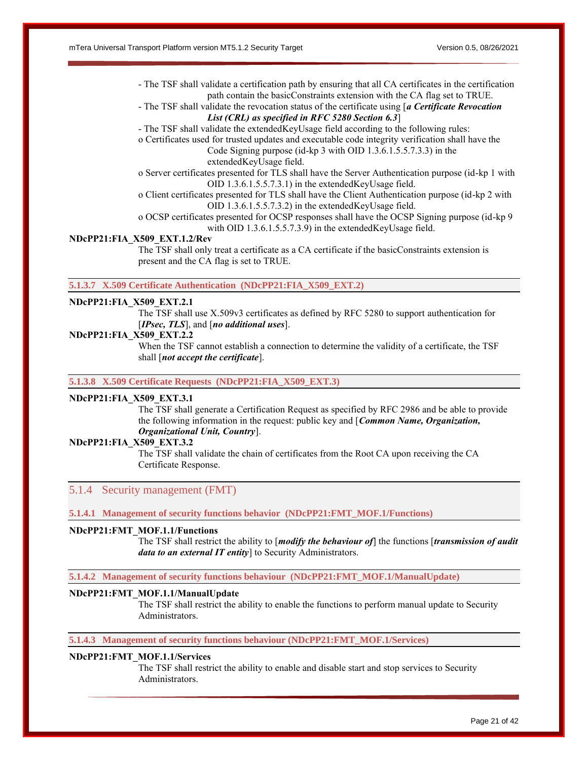- The TSF shall validate a certification path by ensuring that all CA certificates in the certification path contain the basicConstraints extension with the CA flag set to TRUE.
- The TSF shall validate the revocation status of the certificate using [*a Certificate Revocation List (CRL) as specified in RFC 5280 Section 6.3*]
- The TSF shall validate the extendedKeyUsage field according to the following rules:
- o Certificates used for trusted updates and executable code integrity verification shall have the Code Signing purpose (id-kp 3 with OID 1.3.6.1.5.5.7.3.3) in the

extendedKeyUsage field.

- o Server certificates presented for TLS shall have the Server Authentication purpose (id-kp 1 with OID 1.3.6.1.5.5.7.3.1) in the extendedKeyUsage field.
- o Client certificates presented for TLS shall have the Client Authentication purpose (id-kp 2 with OID 1.3.6.1.5.5.7.3.2) in the extendedKeyUsage field.
- o OCSP certificates presented for OCSP responses shall have the OCSP Signing purpose (id-kp 9 with OID 1.3.6.1.5.5.7.3.9) in the extendedKeyUsage field.

# **NDcPP21:FIA\_X509\_EXT.1.2/Rev**

The TSF shall only treat a certificate as a CA certificate if the basicConstraints extension is present and the CA flag is set to TRUE.

**5.1.3.7 X.509 Certificate Authentication (NDcPP21:FIA\_X509\_EXT.2)**

# **NDcPP21:FIA\_X509\_EXT.2.1**

The TSF shall use X.509v3 certificates as defined by RFC 5280 to support authentication for [*IPsec, TLS*], and [*no additional uses*].

#### **NDcPP21:FIA\_X509\_EXT.2.2**

When the TSF cannot establish a connection to determine the validity of a certificate, the TSF shall [*not accept the certificate*].

**5.1.3.8 X.509 Certificate Requests (NDcPP21:FIA\_X509\_EXT.3)**

# **NDcPP21:FIA\_X509\_EXT.3.1**

The TSF shall generate a Certification Request as specified by RFC 2986 and be able to provide the following information in the request: public key and [*Common Name, Organization, Organizational Unit, Country*].

# **NDcPP21:FIA\_X509\_EXT.3.2**

The TSF shall validate the chain of certificates from the Root CA upon receiving the CA Certificate Response.

# <span id="page-20-0"></span>5.1.4 Security management (FMT)

**5.1.4.1 Management of security functions behavior (NDcPP21:FMT\_MOF.1/Functions)**

### **NDcPP21:FMT\_MOF.1.1/Functions**

The TSF shall restrict the ability to [*modify the behaviour of*] the functions [*transmission of audit data to an external IT entity*] to Security Administrators.

**5.1.4.2 Management of security functions behaviour (NDcPP21:FMT\_MOF.1/ManualUpdate)**

#### **NDcPP21:FMT\_MOF.1.1/ManualUpdate**

The TSF shall restrict the ability to enable the functions to perform manual update to Security Administrators.

### **5.1.4.3 Management of security functions behaviour (NDcPP21:FMT\_MOF.1/Services)**

#### **NDcPP21:FMT\_MOF.1.1/Services**

The TSF shall restrict the ability to enable and disable start and stop services to Security Administrators.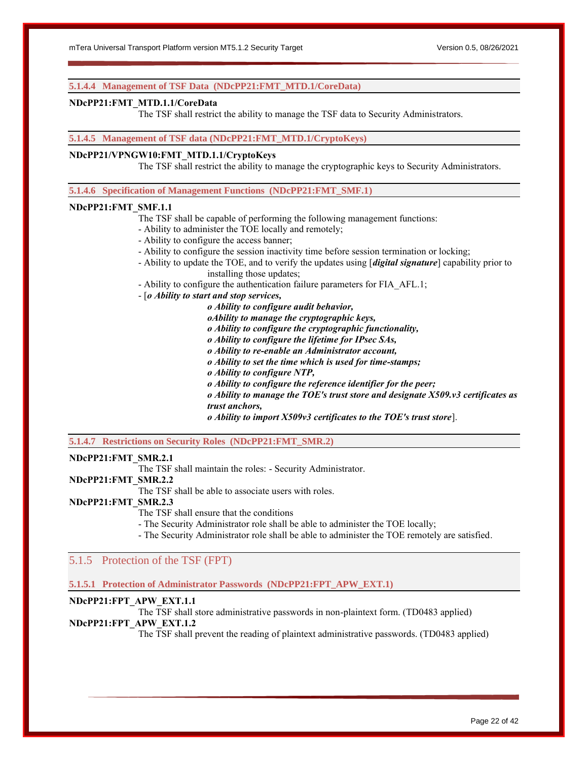#### **5.1.4.4 Management of TSF Data (NDcPP21:FMT\_MTD.1/CoreData)**

#### **NDcPP21:FMT\_MTD.1.1/CoreData**

The TSF shall restrict the ability to manage the TSF data to Security Administrators.

#### **5.1.4.5 Management of TSF data (NDcPP21:FMT\_MTD.1/CryptoKeys)**

# **NDcPP21/VPNGW10:FMT\_MTD.1.1/CryptoKeys**

The TSF shall restrict the ability to manage the cryptographic keys to Security Administrators.

**5.1.4.6 Specification of Management Functions (NDcPP21:FMT\_SMF.1)**

#### **NDcPP21:FMT\_SMF.1.1**

The TSF shall be capable of performing the following management functions:

- Ability to administer the TOE locally and remotely;
- Ability to configure the access banner;
- Ability to configure the session inactivity time before session termination or locking;
- Ability to update the TOE, and to verify the updates using [*digital signature*] capability prior to installing those updates;
- Ability to configure the authentication failure parameters for FIA\_AFL.1;
- [*o Ability to start and stop services,*

*o Ability to configure audit behavior, oAbility to manage the cryptographic keys,*

*o Ability to configure the cryptographic functionality,*

*o Ability to configure the lifetime for IPsec SAs,*

*o Ability to re-enable an Administrator account,*

*o Ability to set the time which is used for time-stamps;*

*o Ability to configure NTP,*

*o Ability to configure the reference identifier for the peer;*

*o Ability to manage the TOE's trust store and designate X509.v3 certificates as trust anchors,*

*o Ability to import X509v3 certificates to the TOE's trust store*].

**5.1.4.7 Restrictions on Security Roles (NDcPP21:FMT\_SMR.2)**

#### **NDcPP21:FMT\_SMR.2.1**

The TSF shall maintain the roles: - Security Administrator.

# **NDcPP21:FMT\_SMR.2.2**

The TSF shall be able to associate users with roles.

# **NDcPP21:FMT\_SMR.2.3**

The TSF shall ensure that the conditions

- The Security Administrator role shall be able to administer the TOE locally;

- The Security Administrator role shall be able to administer the TOE remotely are satisfied.

# <span id="page-21-0"></span>5.1.5 Protection of the TSF (FPT)

#### **5.1.5.1 Protection of Administrator Passwords (NDcPP21:FPT\_APW\_EXT.1)**

# **NDcPP21:FPT\_APW\_EXT.1.1**

The TSF shall store administrative passwords in non-plaintext form. (TD0483 applied) **NDcPP21:FPT\_APW\_EXT.1.2**

The TSF shall prevent the reading of plaintext administrative passwords. (TD0483 applied)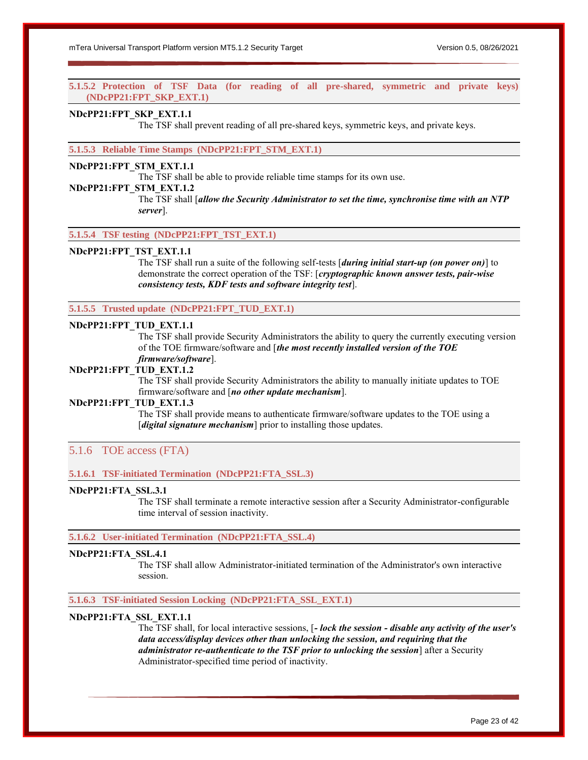**5.1.5.2 Protection of TSF Data (for reading of all pre-shared, symmetric and private keys) (NDcPP21:FPT\_SKP\_EXT.1)**

## **NDcPP21:FPT\_SKP\_EXT.1.1**

The TSF shall prevent reading of all pre-shared keys, symmetric keys, and private keys.

**5.1.5.3 Reliable Time Stamps (NDcPP21:FPT\_STM\_EXT.1)**

#### **NDcPP21:FPT\_STM\_EXT.1.1**

The TSF shall be able to provide reliable time stamps for its own use.

**NDcPP21:FPT\_STM\_EXT.1.2**

The TSF shall [*allow the Security Administrator to set the time, synchronise time with an NTP server*].

**5.1.5.4 TSF testing (NDcPP21:FPT\_TST\_EXT.1)**

### **NDcPP21:FPT\_TST\_EXT.1.1**

The TSF shall run a suite of the following self-tests [*during initial start-up (on power on)*] to demonstrate the correct operation of the TSF: [*cryptographic known answer tests, pair-wise consistency tests, KDF tests and software integrity test*].

### **5.1.5.5 Trusted update (NDcPP21:FPT\_TUD\_EXT.1)**

# **NDcPP21:FPT\_TUD\_EXT.1.1**

The TSF shall provide Security Administrators the ability to query the currently executing version of the TOE firmware/software and [*the most recently installed version of the TOE firmware/software*].

# **NDcPP21:FPT\_TUD\_EXT.1.2**

The TSF shall provide Security Administrators the ability to manually initiate updates to TOE firmware/software and [*no other update mechanism*].

#### **NDcPP21:FPT\_TUD\_EXT.1.3**

The TSF shall provide means to authenticate firmware/software updates to the TOE using a [*digital signature mechanism*] prior to installing those updates.

# <span id="page-22-0"></span>5.1.6 TOE access (FTA)

# **5.1.6.1 TSF-initiated Termination (NDcPP21:FTA\_SSL.3)**

# **NDcPP21:FTA\_SSL.3.1**

The TSF shall terminate a remote interactive session after a Security Administrator-configurable time interval of session inactivity.

# **5.1.6.2 User-initiated Termination (NDcPP21:FTA\_SSL.4)**

### **NDcPP21:FTA\_SSL.4.1**

The TSF shall allow Administrator-initiated termination of the Administrator's own interactive session.

### **5.1.6.3 TSF-initiated Session Locking (NDcPP21:FTA\_SSL\_EXT.1)**

# **NDcPP21:FTA\_SSL\_EXT.1.1**

The TSF shall, for local interactive sessions, [*- lock the session - disable any activity of the user's data access/display devices other than unlocking the session, and requiring that the administrator re-authenticate to the TSF prior to unlocking the session*] after a Security Administrator-specified time period of inactivity.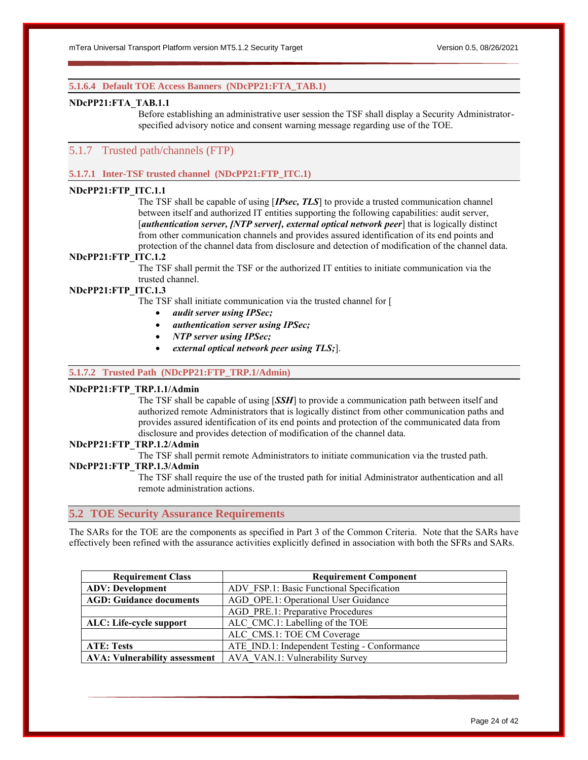#### **5.1.6.4 Default TOE Access Banners (NDcPP21:FTA\_TAB.1)**

#### **NDcPP21:FTA\_TAB.1.1**

Before establishing an administrative user session the TSF shall display a Security Administratorspecified advisory notice and consent warning message regarding use of the TOE.

# <span id="page-23-0"></span>5.1.7 Trusted path/channels (FTP)

#### **5.1.7.1 Inter-TSF trusted channel (NDcPP21:FTP\_ITC.1)**

# **NDcPP21:FTP\_ITC.1.1**

The TSF shall be capable of using [*IPsec, TLS*] to provide a trusted communication channel between itself and authorized IT entities supporting the following capabilities: audit server, [*authentication server, [NTP server], external optical network peer*] that is logically distinct from other communication channels and provides assured identification of its end points and protection of the channel data from disclosure and detection of modification of the channel data.

# **NDcPP21:FTP\_ITC.1.2**

The TSF shall permit the TSF or the authorized IT entities to initiate communication via the trusted channel.

# **NDcPP21:FTP\_ITC.1.3**

The TSF shall initiate communication via the trusted channel for [

- *audit server using IPSec;*
- *authentication server using IPSec;*
- *NTP server using IPSec;*
- *external optical network peer using TLS;*].

### **5.1.7.2 Trusted Path (NDcPP21:FTP\_TRP.1/Admin)**

### **NDcPP21:FTP\_TRP.1.1/Admin**

The TSF shall be capable of using [*SSH*] to provide a communication path between itself and authorized remote Administrators that is logically distinct from other communication paths and provides assured identification of its end points and protection of the communicated data from disclosure and provides detection of modification of the channel data.

# **NDcPP21:FTP\_TRP.1.2/Admin**

The TSF shall permit remote Administrators to initiate communication via the trusted path.

# **NDcPP21:FTP\_TRP.1.3/Admin**

The TSF shall require the use of the trusted path for initial Administrator authentication and all remote administration actions.

# <span id="page-23-1"></span>**5.2 TOE Security Assurance Requirements**

The SARs for the TOE are the components as specified in Part 3 of the Common Criteria. Note that the SARs have effectively been refined with the assurance activities explicitly defined in association with both the SFRs and SARs.

| <b>Requirement Class</b>       | <b>Requirement Component</b>                                           |
|--------------------------------|------------------------------------------------------------------------|
| <b>ADV: Development</b>        | ADV FSP.1: Basic Functional Specification                              |
| <b>AGD: Guidance documents</b> | AGD OPE.1: Operational User Guidance                                   |
|                                | AGD PRE.1: Preparative Procedures                                      |
| ALC: Life-cycle support        | ALC CMC.1: Labelling of the TOE                                        |
|                                | ALC CMS.1: TOE CM Coverage                                             |
| <b>ATE: Tests</b>              | ATE IND.1: Independent Testing - Conformance                           |
|                                | <b>AVA: Vulnerability assessment</b>   AVA VAN.1: Vulnerability Survey |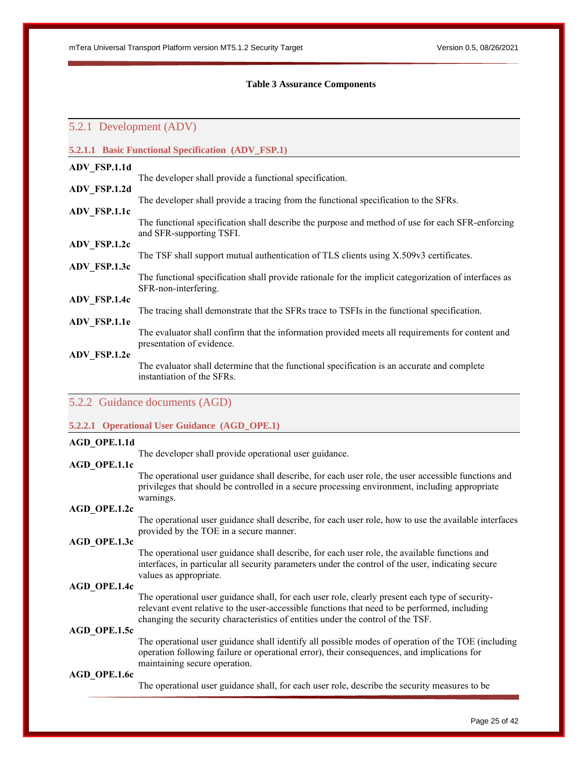#### **Table 3 Assurance Components**

# <span id="page-24-2"></span><span id="page-24-0"></span>5.2.1 Development (ADV)

|              | <b>5.2.1.1 Basic Functional Specification (ADV_FSP.1)</b>                                                                     |
|--------------|-------------------------------------------------------------------------------------------------------------------------------|
| ADV FSP.1.1d |                                                                                                                               |
|              | The developer shall provide a functional specification.                                                                       |
| ADV FSP.1.2d |                                                                                                                               |
|              | The developer shall provide a tracing from the functional specification to the SFRs.                                          |
|              | The functional specification shall describe the purpose and method of use for each SFR-enforcing<br>and SFR-supporting TSFI.  |
| ADV FSP.1.2c |                                                                                                                               |
|              | The TSF shall support mutual authentication of TLS clients using X.509v3 certificates.                                        |
|              | The functional specification shall provide rationale for the implicit categorization of interfaces as<br>SFR-non-interfering. |
|              |                                                                                                                               |
| ADV FSP.1.1e | The tracing shall demonstrate that the SFRs trace to TSFIs in the functional specification.                                   |
|              | The evaluator shall confirm that the information provided meets all requirements for content and<br>presentation of evidence. |
| ADV_FSP.1.2e | The evaluator shall determine that the functional specification is an accurate and complete<br>instantiation of the SFRs.     |
|              | ADV FSP.1.1c<br>ADV FSP.1.3c<br>ADV_FSP.1.4c                                                                                  |

# <span id="page-24-1"></span>5.2.2 Guidance documents (AGD)

#### **5.2.2.1 Operational User Guidance (AGD\_OPE.1)**

#### **AGD\_OPE.1.1d**

The developer shall provide operational user guidance.

# **AGD\_OPE.1.1c**

The operational user guidance shall describe, for each user role, the user accessible functions and privileges that should be controlled in a secure processing environment, including appropriate warnings.

### **AGD\_OPE.1.2c**

The operational user guidance shall describe, for each user role, how to use the available interfaces provided by the TOE in a secure manner.

#### **AGD\_OPE.1.3c**

The operational user guidance shall describe, for each user role, the available functions and interfaces, in particular all security parameters under the control of the user, indicating secure values as appropriate.

# **AGD\_OPE.1.4c**

The operational user guidance shall, for each user role, clearly present each type of securityrelevant event relative to the user-accessible functions that need to be performed, including changing the security characteristics of entities under the control of the TSF.

### **AGD\_OPE.1.5c**

The operational user guidance shall identify all possible modes of operation of the TOE (including operation following failure or operational error), their consequences, and implications for maintaining secure operation.

# **AGD\_OPE.1.6c**

The operational user guidance shall, for each user role, describe the security measures to be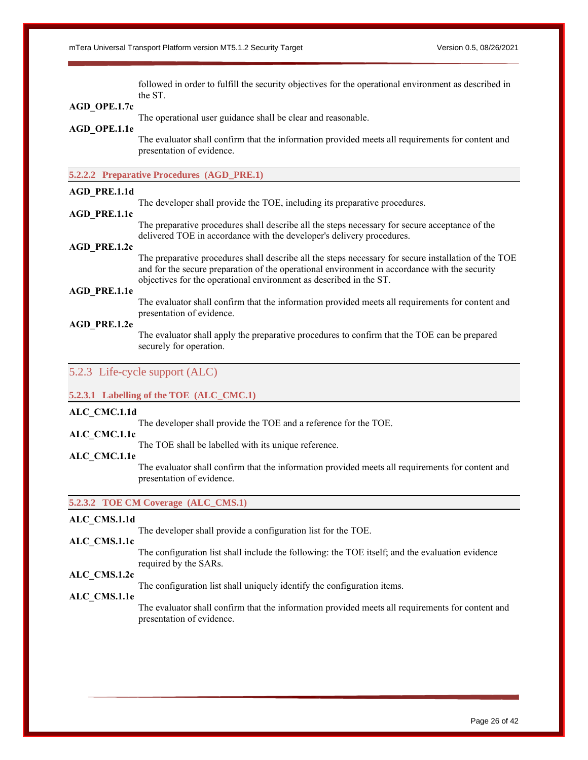followed in order to fulfill the security objectives for the operational environment as described in the ST.

#### **AGD\_OPE.1.7c**

The operational user guidance shall be clear and reasonable.

#### **AGD\_OPE.1.1e**

The evaluator shall confirm that the information provided meets all requirements for content and presentation of evidence.

# **5.2.2.2 Preparative Procedures (AGD\_PRE.1)**

#### **AGD\_PRE.1.1d**

The developer shall provide the TOE, including its preparative procedures.

#### **AGD\_PRE.1.1c**

The preparative procedures shall describe all the steps necessary for secure acceptance of the delivered TOE in accordance with the developer's delivery procedures.

# **AGD\_PRE.1.2c**

The preparative procedures shall describe all the steps necessary for secure installation of the TOE and for the secure preparation of the operational environment in accordance with the security objectives for the operational environment as described in the ST.

# **AGD\_PRE.1.1e**

The evaluator shall confirm that the information provided meets all requirements for content and presentation of evidence.

# **AGD\_PRE.1.2e**

The evaluator shall apply the preparative procedures to confirm that the TOE can be prepared securely for operation.

# <span id="page-25-0"></span>5.2.3 Life-cycle support (ALC)

### **5.2.3.1 Labelling of the TOE (ALC\_CMC.1)**

#### **ALC\_CMC.1.1d**

The developer shall provide the TOE and a reference for the TOE.

# **ALC\_CMC.1.1c**

The TOE shall be labelled with its unique reference.

#### **ALC\_CMC.1.1e**

The evaluator shall confirm that the information provided meets all requirements for content and presentation of evidence.

**5.2.3.2 TOE CM Coverage (ALC\_CMS.1)**

# **ALC\_CMS.1.1d**

The developer shall provide a configuration list for the TOE.

#### **ALC\_CMS.1.1c**

The configuration list shall include the following: the TOE itself; and the evaluation evidence required by the SARs.

# **ALC\_CMS.1.2c**

The configuration list shall uniquely identify the configuration items.

# **ALC\_CMS.1.1e**

The evaluator shall confirm that the information provided meets all requirements for content and presentation of evidence.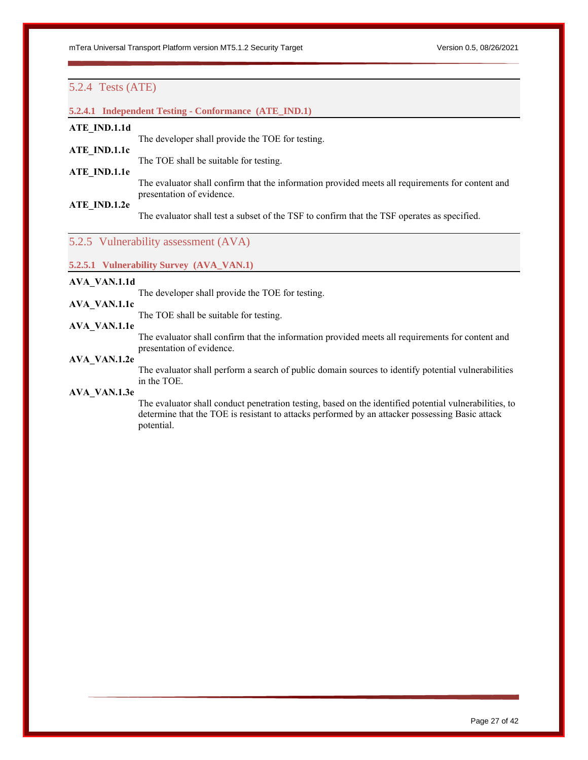# <span id="page-26-0"></span>5.2.4 Tests (ATE)

# **5.2.4.1 Independent Testing - Conformance (ATE\_IND.1)**

### **ATE\_IND.1.1d**

The developer shall provide the TOE for testing.

# **ATE\_IND.1.1c**

The TOE shall be suitable for testing.

# **ATE\_IND.1.1e**

The evaluator shall confirm that the information provided meets all requirements for content and presentation of evidence.

# **ATE\_IND.1.2e**

The evaluator shall test a subset of the TSF to confirm that the TSF operates as specified.

# <span id="page-26-1"></span>5.2.5 Vulnerability assessment (AVA)

#### **5.2.5.1 Vulnerability Survey (AVA\_VAN.1)**

# **AVA\_VAN.1.1d**

The developer shall provide the TOE for testing.

# **AVA\_VAN.1.1c**

The TOE shall be suitable for testing.

# **AVA\_VAN.1.1e**

The evaluator shall confirm that the information provided meets all requirements for content and presentation of evidence.

# **AVA\_VAN.1.2e**

The evaluator shall perform a search of public domain sources to identify potential vulnerabilities in the TOE.

#### **AVA\_VAN.1.3e**

The evaluator shall conduct penetration testing, based on the identified potential vulnerabilities, to determine that the TOE is resistant to attacks performed by an attacker possessing Basic attack potential.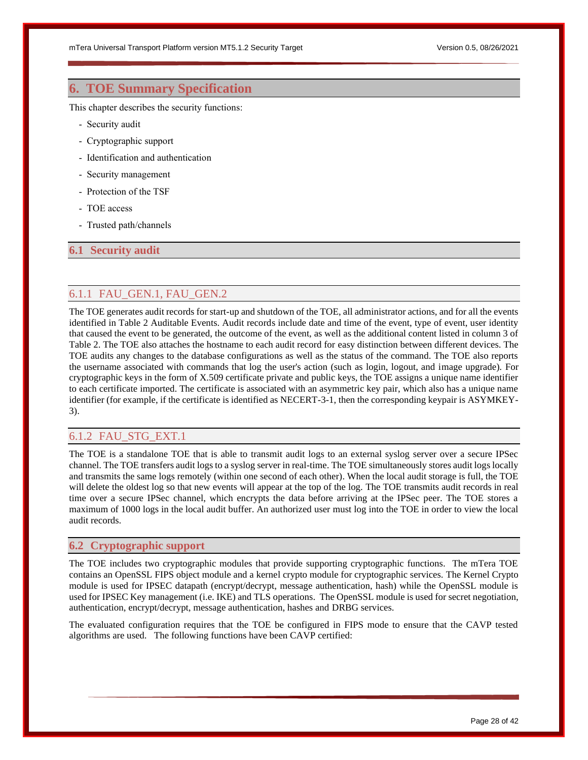# <span id="page-27-0"></span>**6. TOE Summary Specification**

This chapter describes the security functions:

- Security audit
- Cryptographic support
- Identification and authentication
- Security management
- Protection of the TSF
- TOE access
- Trusted path/channels

# <span id="page-27-1"></span>**6.1 Security audit**

# <span id="page-27-2"></span>6.1.1 FAU\_GEN.1, FAU\_GEN.2

The TOE generates audit records for start-up and shutdown of the TOE, all administrator actions, and for all the events identified in Table 2 Auditable Events. Audit records include date and time of the event, type of event, user identity that caused the event to be generated, the outcome of the event, as well as the additional content listed in column 3 of Table 2. The TOE also attaches the hostname to each audit record for easy distinction between different devices. The TOE audits any changes to the database configurations as well as the status of the command. The TOE also reports the username associated with commands that log the user's action (such as login, logout, and image upgrade). For cryptographic keys in the form of X.509 certificate private and public keys, the TOE assigns a unique name identifier to each certificate imported. The certificate is associated with an asymmetric key pair, which also has a unique name identifier (for example, if the certificate is identified as NECERT-3-1, then the corresponding keypair is ASYMKEY-3).

# <span id="page-27-3"></span>6.1.2 FAU\_STG\_EXT.1

The TOE is a standalone TOE that is able to transmit audit logs to an external syslog server over a secure IPSec channel. The TOE transfers audit logs to a syslog server in real-time. The TOE simultaneously stores audit logs locally and transmits the same logs remotely (within one second of each other). When the local audit storage is full, the TOE will delete the oldest log so that new events will appear at the top of the log. The TOE transmits audit records in real time over a secure IPSec channel, which encrypts the data before arriving at the IPSec peer. The TOE stores a maximum of 1000 logs in the local audit buffer. An authorized user must log into the TOE in order to view the local audit records.

#### <span id="page-27-4"></span>**6.2 Cryptographic support**

The TOE includes two cryptographic modules that provide supporting cryptographic functions. The mTera TOE contains an OpenSSL FIPS object module and a kernel crypto module for cryptographic services. The Kernel Crypto module is used for IPSEC datapath (encrypt/decrypt, message authentication, hash) while the OpenSSL module is used for IPSEC Key management (i.e. IKE) and TLS operations. The OpenSSL module is used for secret negotiation, authentication, encrypt/decrypt, message authentication, hashes and DRBG services.

The evaluated configuration requires that the TOE be configured in FIPS mode to ensure that the CAVP tested algorithms are used. The following functions have been CAVP certified: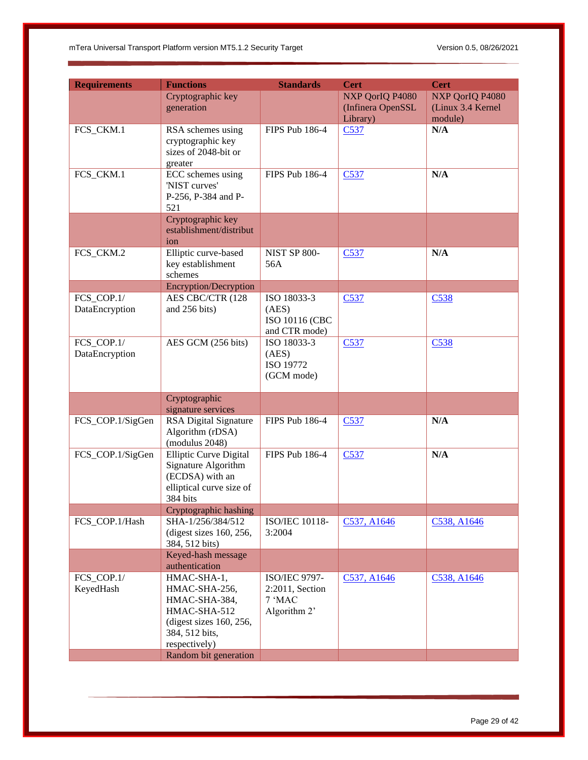| <b>Requirements</b> | <b>Functions</b>                                     | <b>Standards</b>             | <b>Cert</b>       | <b>Cert</b>        |
|---------------------|------------------------------------------------------|------------------------------|-------------------|--------------------|
|                     | Cryptographic key                                    |                              | NXP QorIQ P4080   | NXP QorIQ P4080    |
|                     | generation                                           |                              | (Infinera OpenSSL | (Linux 3.4 Kernel) |
|                     |                                                      |                              | Library)          | module)            |
| FCS_CKM.1           | RSA schemes using                                    | <b>FIPS Pub 186-4</b>        | C537              | N/A                |
|                     | cryptographic key                                    |                              |                   |                    |
|                     | sizes of 2048-bit or                                 |                              |                   |                    |
|                     | greater                                              |                              |                   |                    |
| FCS_CKM.1           | ECC schemes using                                    | FIPS Pub 186-4               | C537              | N/A                |
|                     | 'NIST curves'                                        |                              |                   |                    |
|                     | P-256, P-384 and P-<br>521                           |                              |                   |                    |
|                     | Cryptographic key                                    |                              |                   |                    |
|                     | establishment/distribut                              |                              |                   |                    |
|                     | ion                                                  |                              |                   |                    |
| FCS_CKM.2           | Elliptic curve-based                                 | <b>NIST SP 800-</b>          | C <sub>537</sub>  | N/A                |
|                     | key establishment                                    | 56A                          |                   |                    |
|                     | schemes                                              |                              |                   |                    |
|                     | Encryption/Decryption                                |                              |                   |                    |
| FCS_COP.1/          | AES CBC/CTR (128                                     | ISO 18033-3                  | C <sub>537</sub>  | C538               |
| DataEncryption      | and 256 bits)                                        | (AES)                        |                   |                    |
|                     |                                                      | ISO 10116 (CBC               |                   |                    |
| FCS COP.1/          | AES GCM (256 bits)                                   | and CTR mode)<br>ISO 18033-3 |                   | C538               |
| DataEncryption      |                                                      | (AES)                        | C537              |                    |
|                     |                                                      | ISO 19772                    |                   |                    |
|                     |                                                      | (GCM mode)                   |                   |                    |
|                     |                                                      |                              |                   |                    |
|                     | Cryptographic                                        |                              |                   |                    |
|                     | signature services                                   |                              |                   |                    |
| FCS_COP.1/SigGen    | <b>RSA Digital Signature</b>                         | FIPS Pub 186-4               | C537              | N/A                |
|                     | Algorithm (rDSA)                                     |                              |                   |                    |
|                     | (modulus 2048)                                       |                              |                   |                    |
| FCS_COP.1/SigGen    | <b>Elliptic Curve Digital</b><br>Signature Algorithm | FIPS Pub 186-4               | C537              | N/A                |
|                     | (ECDSA) with an                                      |                              |                   |                    |
|                     | elliptical curve size of                             |                              |                   |                    |
|                     | 384 bits                                             |                              |                   |                    |
|                     | Cryptographic hashing                                |                              |                   |                    |
| FCS_COP.1/Hash      | SHA-1/256/384/512                                    | ISO/IEC 10118-               | C537, A1646       | C538, A1646        |
|                     | (digest sizes 160, 256,                              | 3:2004                       |                   |                    |
|                     | 384, 512 bits)                                       |                              |                   |                    |
|                     | Keyed-hash message                                   |                              |                   |                    |
|                     | authentication                                       |                              |                   |                    |
| FCS_COP.1/          | HMAC-SHA-1,<br>HMAC-SHA-256,                         | ISO/IEC 9797-                | C537, A1646       | C538, A1646        |
| KeyedHash           | HMAC-SHA-384,                                        | 2:2011, Section<br>7 'MAC    |                   |                    |
|                     | HMAC-SHA-512                                         | Algorithm 2'                 |                   |                    |
|                     | (digest sizes $160$ , $256$ ,                        |                              |                   |                    |
|                     | 384, 512 bits,                                       |                              |                   |                    |
|                     | respectively)                                        |                              |                   |                    |
|                     | Random bit generation                                |                              |                   |                    |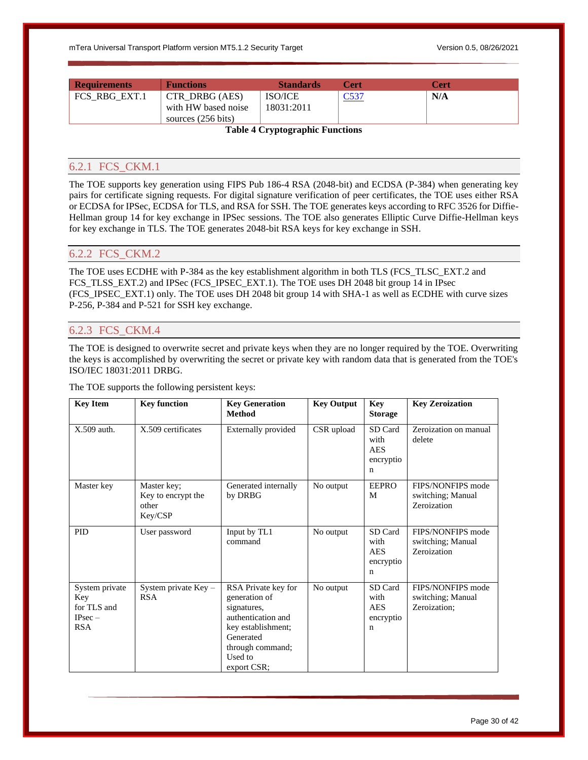| <b>Requirements</b> | <b>Functions</b>    | <b>Standards</b>                                                                     | Cert | Cert |
|---------------------|---------------------|--------------------------------------------------------------------------------------|------|------|
| FCS RBG EXT.1       | CTR DRBG (AES)      | <b>ISO/ICE</b>                                                                       |      | N/A  |
|                     | with HW based noise | 18031:2011                                                                           |      |      |
|                     | sources (256 bits)  |                                                                                      |      |      |
|                     | -- - -<br>$\sim$    | .<br>the contract of the contract of the contract of the contract of the contract of |      |      |

**Table 4 Cryptographic Functions**

# <span id="page-29-3"></span><span id="page-29-0"></span>6.2.1 FCS\_CKM.1

The TOE supports key generation using FIPS Pub 186-4 RSA (2048-bit) and ECDSA (P-384) when generating key pairs for certificate signing requests. For digital signature verification of peer certificates, the TOE uses either RSA or ECDSA for IPSec, ECDSA for TLS, and RSA for SSH. The TOE generates keys according to RFC 3526 for Diffie-Hellman group 14 for key exchange in IPSec sessions. The TOE also generates Elliptic Curve Diffie-Hellman keys for key exchange in TLS. The TOE generates 2048-bit RSA keys for key exchange in SSH.

# <span id="page-29-1"></span>6.2.2 FCS\_CKM.2

The TOE uses ECDHE with P-384 as the key establishment algorithm in both TLS (FCS\_TLSC\_EXT.2 and FCS\_TLSS\_EXT.2) and IPSec (FCS\_IPSEC\_EXT.1). The TOE uses DH 2048 bit group 14 in IPsec (FCS\_IPSEC\_EXT.1) only. The TOE uses DH 2048 bit group 14 with SHA-1 as well as ECDHE with curve sizes P-256, P-384 and P-521 for SSH key exchange.

# <span id="page-29-2"></span>6.2.3 FCS\_CKM.4

The TOE is designed to overwrite secret and private keys when they are no longer required by the TOE. Overwriting the keys is accomplished by overwriting the secret or private key with random data that is generated from the TOE's ISO/IEC 18031:2011 DRBG.

The TOE supports the following persistent keys:

| <b>Key Item</b>                                                 | <b>Key function</b>                                   | <b>Key Generation</b><br><b>Method</b>                                                                                                                     | <b>Key Output</b> | Key<br><b>Storage</b>                                     | <b>Key Zeroization</b>                                 |
|-----------------------------------------------------------------|-------------------------------------------------------|------------------------------------------------------------------------------------------------------------------------------------------------------------|-------------------|-----------------------------------------------------------|--------------------------------------------------------|
| X.509 auth.                                                     | X.509 certificates                                    | Externally provided                                                                                                                                        | CSR upload        | SD Card<br>with<br><b>AES</b><br>encryptio<br>n           | Zeroization on manual<br>delete                        |
| Master key                                                      | Master key;<br>Key to encrypt the<br>other<br>Key/CSP | Generated internally<br>by DRBG                                                                                                                            | No output         | <b>EEPRO</b><br>M                                         | FIPS/NONFIPS mode<br>switching; Manual<br>Zeroization  |
| <b>PID</b>                                                      | User password                                         | Input by TL1<br>command                                                                                                                                    | No output         | SD Card<br>with<br><b>AES</b><br>encryptio<br>n           | FIPS/NONFIPS mode<br>switching; Manual<br>Zeroization  |
| System private<br>Key<br>for TLS and<br>$IPsec -$<br><b>RSA</b> | System private $Key -$<br><b>RSA</b>                  | RSA Private key for<br>generation of<br>signatures,<br>authentication and<br>key establishment;<br>Generated<br>through command;<br>Used to<br>export CSR; | No output         | SD Card<br>with<br><b>AES</b><br>encryptio<br>$\mathbf n$ | FIPS/NONFIPS mode<br>switching; Manual<br>Zeroization; |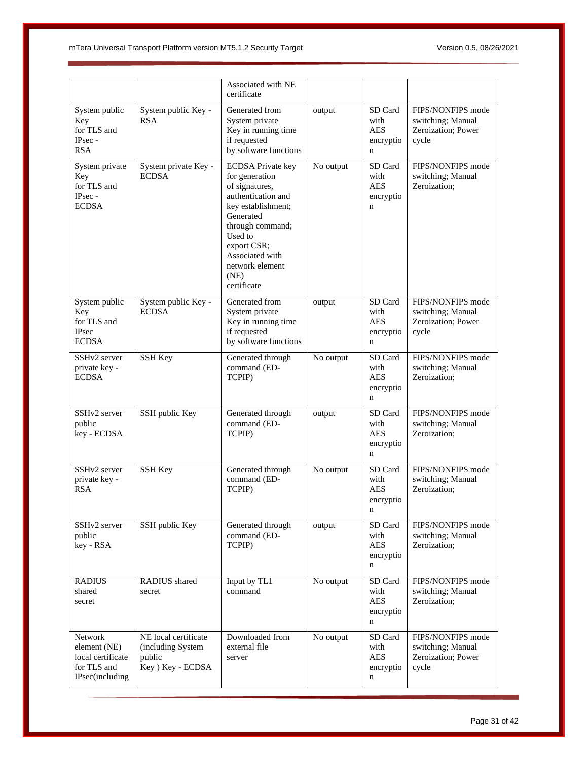|                                                                                |                                                                          | Associated with NE<br>certificate                                                                                                                                                                                                |           |                                                           |                                                                       |
|--------------------------------------------------------------------------------|--------------------------------------------------------------------------|----------------------------------------------------------------------------------------------------------------------------------------------------------------------------------------------------------------------------------|-----------|-----------------------------------------------------------|-----------------------------------------------------------------------|
| System public<br>Key<br>for TLS and<br>IPsec -<br><b>RSA</b>                   | System public Key -<br><b>RSA</b>                                        | Generated from<br>System private<br>Key in running time<br>if requested<br>by software functions                                                                                                                                 | output    | SD Card<br>with<br><b>AES</b><br>encryptio<br>$\mathbf n$ | FIPS/NONFIPS mode<br>switching; Manual<br>Zeroization: Power<br>cycle |
| System private<br>Key<br>for TLS and<br>IPsec -<br><b>ECDSA</b>                | System private Key -<br><b>ECDSA</b>                                     | <b>ECDSA</b> Private key<br>for generation<br>of signatures,<br>authentication and<br>key establishment;<br>Generated<br>through command;<br>Used to<br>export CSR;<br>Associated with<br>network element<br>(NE)<br>certificate | No output | SD Card<br>with<br><b>AES</b><br>encryptio<br>$\mathbf n$ | FIPS/NONFIPS mode<br>switching; Manual<br>Zeroization;                |
| System public<br>Key<br>for TLS and<br><b>IPsec</b><br><b>ECDSA</b>            | System public Key -<br><b>ECDSA</b>                                      | Generated from<br>System private<br>Key in running time<br>if requested<br>by software functions                                                                                                                                 | output    | SD Card<br>with<br><b>AES</b><br>encryptio<br>n           | FIPS/NONFIPS mode<br>switching; Manual<br>Zeroization; Power<br>cycle |
| SSHv2 server<br>private key -<br><b>ECDSA</b>                                  | SSH Key                                                                  | Generated through<br>command (ED-<br>TCPIP)                                                                                                                                                                                      | No output | SD Card<br>with<br><b>AES</b><br>encryptio<br>n           | FIPS/NONFIPS mode<br>switching; Manual<br>Zeroization;                |
| SSHv2 server<br>public<br>key - ECDSA                                          | SSH public Key                                                           | Generated through<br>command (ED-<br>TCPIP)                                                                                                                                                                                      | output    | SD Card<br>with<br><b>AES</b><br>encryptio<br>n           | FIPS/NONFIPS mode<br>switching; Manual<br>Zeroization:                |
| SSHv2 server<br>private key -<br><b>RSA</b>                                    | SSH Key                                                                  | Generated through<br>command (ED-<br>TCPIP)                                                                                                                                                                                      | No output | SD Card<br>with<br><b>AES</b><br>encryptio<br>n           | FIPS/NONFIPS mode<br>switching; Manual<br>Zeroization;                |
| SSHv2 server<br>public<br>key - RSA                                            | SSH public Key                                                           | Generated through<br>command (ED-<br>TCPIP)                                                                                                                                                                                      | output    | SD Card<br>with<br><b>AES</b><br>encryptio<br>$\mathbf n$ | FIPS/NONFIPS mode<br>switching; Manual<br>Zeroization;                |
| <b>RADIUS</b><br>shared<br>secret                                              | RADIUS shared<br>secret                                                  | Input by TL1<br>command                                                                                                                                                                                                          | No output | SD Card<br>with<br><b>AES</b><br>encryptio<br>n           | FIPS/NONFIPS mode<br>switching; Manual<br>Zeroization;                |
| Network<br>element (NE)<br>local certificate<br>for TLS and<br>IPsec(including | NE local certificate<br>(including System<br>public<br>Key ) Key - ECDSA | Downloaded from<br>external file<br>server                                                                                                                                                                                       | No output | SD Card<br>with<br><b>AES</b><br>encryptio<br>n           | FIPS/NONFIPS mode<br>switching; Manual<br>Zeroization; Power<br>cycle |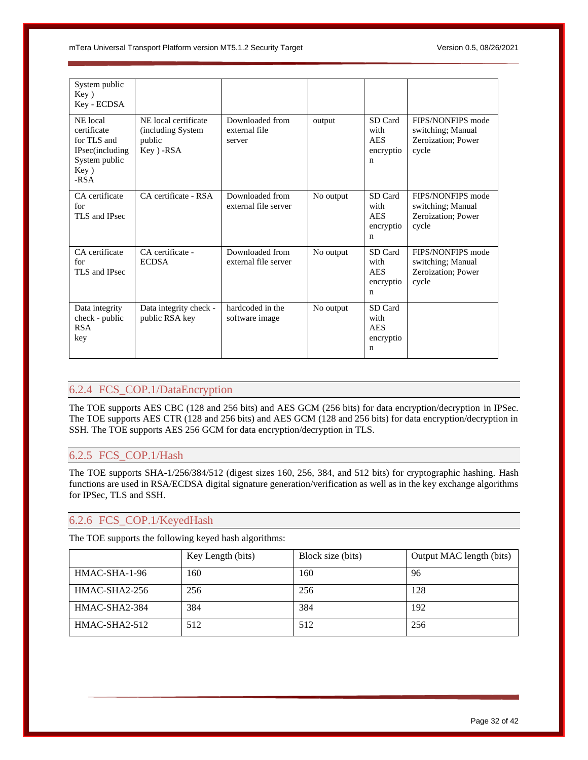| System public<br>Key)<br>Key - ECDSA                                                         |                                                                    |                                            |           |                                                           |                                                                       |
|----------------------------------------------------------------------------------------------|--------------------------------------------------------------------|--------------------------------------------|-----------|-----------------------------------------------------------|-----------------------------------------------------------------------|
| NE local<br>certificate<br>for TLS and<br>IPsec(including<br>System public<br>Key)<br>$-RSA$ | NE local certificate<br>(including System)<br>public<br>Key ) -RSA | Downloaded from<br>external file<br>server | output    | SD Card<br>with<br><b>AES</b><br>encryptio<br>$\mathbf n$ | FIPS/NONFIPS mode<br>switching; Manual<br>Zeroization; Power<br>cycle |
| CA certificate<br>for<br>TLS and IPsec                                                       | CA certificate - RSA                                               | Downloaded from<br>external file server    | No output | SD Card<br>with<br><b>AES</b><br>encryptio<br>$\mathbf n$ | FIPS/NONFIPS mode<br>switching; Manual<br>Zeroization; Power<br>cycle |
| CA certificate<br>for<br>TLS and IPsec                                                       | CA certificate -<br><b>ECDSA</b>                                   | Downloaded from<br>external file server    | No output | SD Card<br>with<br><b>AES</b><br>encryptio<br>n           | FIPS/NONFIPS mode<br>switching; Manual<br>Zeroization; Power<br>cycle |
| Data integrity<br>check - public<br><b>RSA</b><br>key                                        | Data integrity check -<br>public RSA key                           | hardcoded in the<br>software image         | No output | SD Card<br>with<br><b>AES</b><br>encryptio<br>$\mathbf n$ |                                                                       |

# <span id="page-31-0"></span>6.2.4 FCS\_COP.1/DataEncryption

The TOE supports AES CBC (128 and 256 bits) and AES GCM (256 bits) for data encryption/decryption in IPSec. The TOE supports AES CTR (128 and 256 bits) and AES GCM (128 and 256 bits) for data encryption/decryption in SSH. The TOE supports AES 256 GCM for data encryption/decryption in TLS.

# <span id="page-31-1"></span>6.2.5 FCS\_COP.1/Hash

The TOE supports SHA-1/256/384/512 (digest sizes 160, 256, 384, and 512 bits) for cryptographic hashing. Hash functions are used in RSA/ECDSA digital signature generation/verification as well as in the key exchange algorithms for IPSec, TLS and SSH.

# <span id="page-31-2"></span>6.2.6 FCS\_COP.1/KeyedHash

The TOE supports the following keyed hash algorithms:

|               | Key Length (bits) | Block size (bits) | Output MAC length (bits) |
|---------------|-------------------|-------------------|--------------------------|
| HMAC-SHA-1-96 | 160               | 160               | 96                       |
| HMAC-SHA2-256 | 256               | 256               | 128                      |
| HMAC-SHA2-384 | 384               | 384               | 192                      |
| HMAC-SHA2-512 | 512               | 512               | 256                      |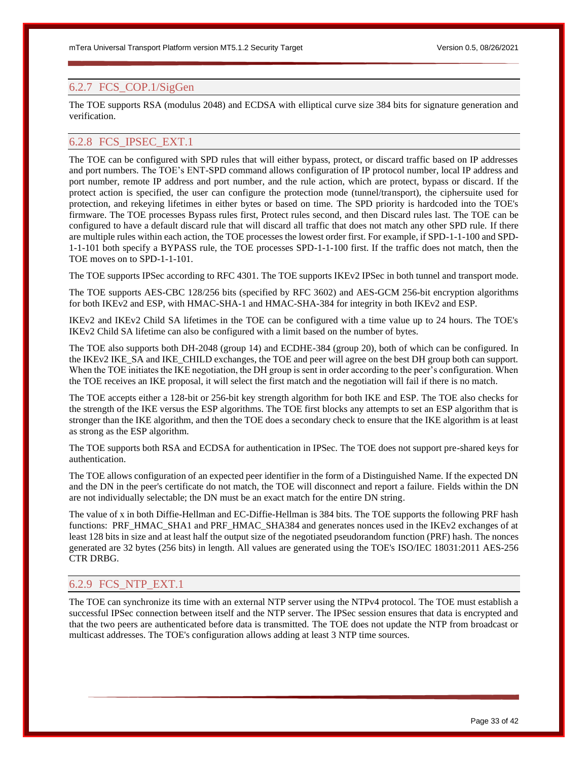# <span id="page-32-0"></span>6.2.7 FCS\_COP.1/SigGen

The TOE supports RSA (modulus 2048) and ECDSA with elliptical curve size 384 bits for signature generation and verification.

# <span id="page-32-1"></span>6.2.8 FCS\_IPSEC\_EXT.1

The TOE can be configured with SPD rules that will either bypass, protect, or discard traffic based on IP addresses and port numbers. The TOE's ENT-SPD command allows configuration of IP protocol number, local IP address and port number, remote IP address and port number, and the rule action, which are protect, bypass or discard. If the protect action is specified, the user can configure the protection mode (tunnel/transport), the ciphersuite used for protection, and rekeying lifetimes in either bytes or based on time. The SPD priority is hardcoded into the TOE's firmware. The TOE processes Bypass rules first, Protect rules second, and then Discard rules last. The TOE can be configured to have a default discard rule that will discard all traffic that does not match any other SPD rule. If there are multiple rules within each action, the TOE processes the lowest order first. For example, if SPD-1-1-100 and SPD-1-1-101 both specify a BYPASS rule, the TOE processes SPD-1-1-100 first. If the traffic does not match, then the TOE moves on to SPD-1-1-101.

The TOE supports IPSec according to RFC 4301. The TOE supports IKEv2 IPSec in both tunnel and transport mode.

The TOE supports AES-CBC 128/256 bits (specified by RFC 3602) and AES-GCM 256-bit encryption algorithms for both IKEv2 and ESP, with HMAC-SHA-1 and HMAC-SHA-384 for integrity in both IKEv2 and ESP.

IKEv2 and IKEv2 Child SA lifetimes in the TOE can be configured with a time value up to 24 hours. The TOE's IKEv2 Child SA lifetime can also be configured with a limit based on the number of bytes.

The TOE also supports both DH-2048 (group 14) and ECDHE-384 (group 20), both of which can be configured. In the IKEv2 IKE\_SA and IKE\_CHILD exchanges, the TOE and peer will agree on the best DH group both can support. When the TOE initiates the IKE negotiation, the DH group is sent in order according to the peer's configuration. When the TOE receives an IKE proposal, it will select the first match and the negotiation will fail if there is no match.

The TOE accepts either a 128-bit or 256-bit key strength algorithm for both IKE and ESP. The TOE also checks for the strength of the IKE versus the ESP algorithms. The TOE first blocks any attempts to set an ESP algorithm that is stronger than the IKE algorithm, and then the TOE does a secondary check to ensure that the IKE algorithm is at least as strong as the ESP algorithm.

The TOE supports both RSA and ECDSA for authentication in IPSec. The TOE does not support pre-shared keys for authentication.

The TOE allows configuration of an expected peer identifier in the form of a Distinguished Name. If the expected DN and the DN in the peer's certificate do not match, the TOE will disconnect and report a failure. Fields within the DN are not individually selectable; the DN must be an exact match for the entire DN string.

The value of x in both Diffie-Hellman and EC-Diffie-Hellman is 384 bits. The TOE supports the following PRF hash functions: PRF\_HMAC\_SHA1 and PRF\_HMAC\_SHA384 and generates nonces used in the IKEv2 exchanges of at least 128 bits in size and at least half the output size of the negotiated pseudorandom function (PRF) hash. The nonces generated are 32 bytes (256 bits) in length. All values are generated using the TOE's ISO/IEC 18031:2011 AES-256 CTR DRBG.

# <span id="page-32-2"></span>6.2.9 FCS\_NTP\_EXT.1

The TOE can synchronize its time with an external NTP server using the NTPv4 protocol. The TOE must establish a successful IPSec connection between itself and the NTP server. The IPSec session ensures that data is encrypted and that the two peers are authenticated before data is transmitted. The TOE does not update the NTP from broadcast or multicast addresses. The TOE's configuration allows adding at least 3 NTP time sources.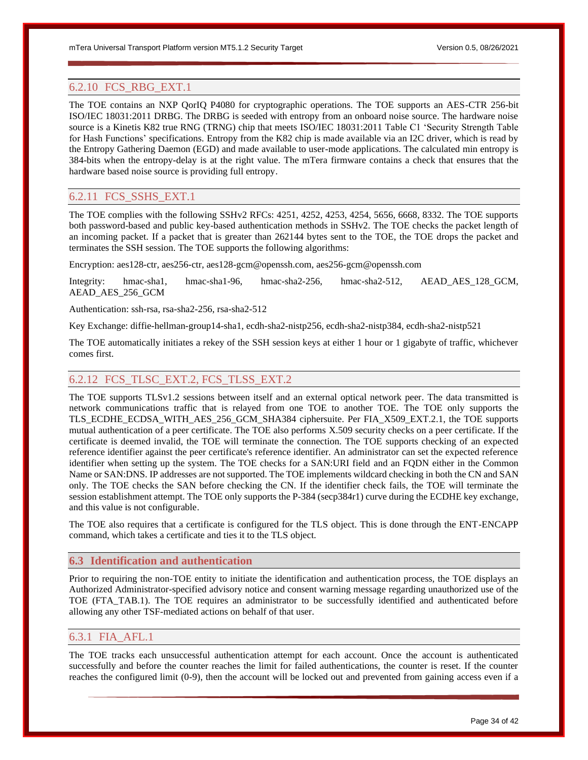# <span id="page-33-0"></span>6.2.10 FCS\_RBG\_EXT.1

The TOE contains an NXP QorIQ P4080 for cryptographic operations. The TOE supports an AES-CTR 256-bit ISO/IEC 18031:2011 DRBG. The DRBG is seeded with entropy from an onboard noise source. The hardware noise source is a Kinetis K82 true RNG (TRNG) chip that meets ISO/IEC 18031:2011 Table C1 'Security Strength Table for Hash Functions' specifications. Entropy from the K82 chip is made available via an I2C driver, which is read by the Entropy Gathering Daemon (EGD) and made available to user-mode applications. The calculated min entropy is 384-bits when the entropy-delay is at the right value. The mTera firmware contains a check that ensures that the hardware based noise source is providing full entropy.

# <span id="page-33-1"></span>6.2.11 FCS\_SSHS\_EXT.1

The TOE complies with the following SSHv2 RFCs: 4251, 4252, 4253, 4254, 5656, 6668, 8332. The TOE supports both password-based and public key-based authentication methods in SSHv2. The TOE checks the packet length of an incoming packet. If a packet that is greater than 262144 bytes sent to the TOE, the TOE drops the packet and terminates the SSH session. The TOE supports the following algorithms:

Encryption: aes128-ctr, aes256-ctr, aes128-gcm@openssh.com, aes256-gcm@openssh.com

Integrity: hmac-sha1, hmac-sha1-96, hmac-sha2-256, hmac-sha2-512, AEAD\_AES\_128\_GCM, AEAD\_AES\_256\_GCM

Authentication: ssh-rsa, rsa-sha2-256, rsa-sha2-512

Key Exchange: diffie-hellman-group14-sha1, ecdh-sha2-nistp256, ecdh-sha2-nistp384, ecdh-sha2-nistp521

The TOE automatically initiates a rekey of the SSH session keys at either 1 hour or 1 gigabyte of traffic, whichever comes first.

# <span id="page-33-2"></span>6.2.12 FCS\_TLSC\_EXT.2, FCS\_TLSS\_EXT.2

The TOE supports TLSv1.2 sessions between itself and an external optical network peer. The data transmitted is network communications traffic that is relayed from one TOE to another TOE. The TOE only supports the TLS\_ECDHE\_ECDSA\_WITH\_AES\_256\_GCM\_SHA384 ciphersuite. Per FIA\_X509\_EXT.2.1, the TOE supports mutual authentication of a peer certificate. The TOE also performs X.509 security checks on a peer certificate. If the certificate is deemed invalid, the TOE will terminate the connection. The TOE supports checking of an expected reference identifier against the peer certificate's reference identifier. An administrator can set the expected reference identifier when setting up the system. The TOE checks for a SAN:URI field and an FQDN either in the Common Name or SAN:DNS. IP addresses are not supported. The TOE implements wildcard checking in both the CN and SAN only. The TOE checks the SAN before checking the CN. If the identifier check fails, the TOE will terminate the session establishment attempt. The TOE only supports the P-384 (secp384r1) curve during the ECDHE key exchange, and this value is not configurable.

The TOE also requires that a certificate is configured for the TLS object. This is done through the ENT-ENCAPP command, which takes a certificate and ties it to the TLS object.

# <span id="page-33-3"></span>**6.3 Identification and authentication**

Prior to requiring the non-TOE entity to initiate the identification and authentication process, the TOE displays an Authorized Administrator-specified advisory notice and consent warning message regarding unauthorized use of the TOE (FTA\_TAB.1). The TOE requires an administrator to be successfully identified and authenticated before allowing any other TSF-mediated actions on behalf of that user.

# <span id="page-33-4"></span>6.3.1 FIA\_AFL.1

The TOE tracks each unsuccessful authentication attempt for each account. Once the account is authenticated successfully and before the counter reaches the limit for failed authentications, the counter is reset. If the counter reaches the configured limit (0-9), then the account will be locked out and prevented from gaining access even if a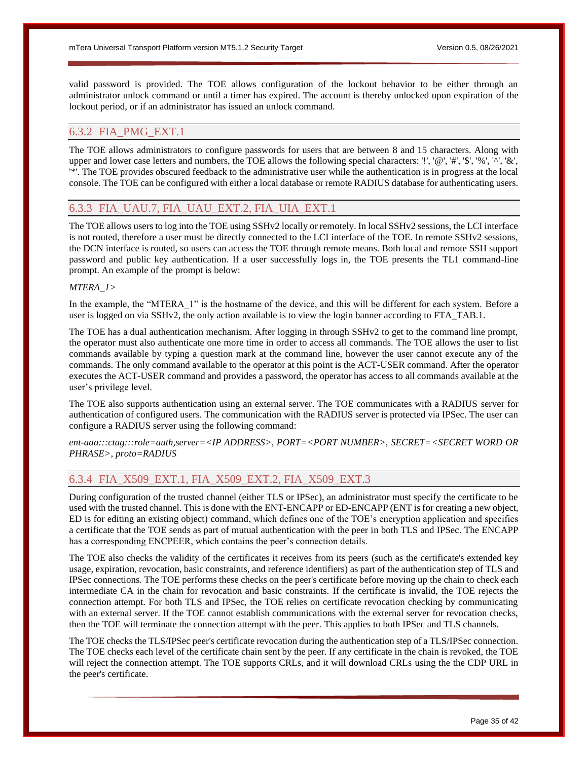valid password is provided. The TOE allows configuration of the lockout behavior to be either through an administrator unlock command or until a timer has expired. The account is thereby unlocked upon expiration of the lockout period, or if an administrator has issued an unlock command.

# <span id="page-34-0"></span>6.3.2 FIA\_PMG\_EXT.1

The TOE allows administrators to configure passwords for users that are between 8 and 15 characters. Along with upper and lower case letters and numbers, the TOE allows the following special characters: '!', '@', '#', '\$', '%', '^', '&', '\*'. The TOE provides obscured feedback to the administrative user while the authentication is in progress at the local console. The TOE can be configured with either a local database or remote RADIUS database for authenticating users.

# <span id="page-34-1"></span>6.3.3 FIA\_UAU.7, FIA\_UAU\_EXT.2, FIA\_UIA\_EXT.1

The TOE allows users to log into the TOE using SSHv2 locally or remotely. In local SSHv2 sessions, the LCI interface is not routed, therefore a user must be directly connected to the LCI interface of the TOE. In remote SSHv2 sessions, the DCN interface is routed, so users can access the TOE through remote means. Both local and remote SSH support password and public key authentication. If a user successfully logs in, the TOE presents the TL1 command-line prompt. An example of the prompt is below:

# *MTERA\_1>*

In the example, the "MTERA<sup>1"</sup> is the hostname of the device, and this will be different for each system. Before a user is logged on via SSHv2, the only action available is to view the login banner according to FTA\_TAB.1.

The TOE has a dual authentication mechanism. After logging in through SSHv2 to get to the command line prompt, the operator must also authenticate one more time in order to access all commands. The TOE allows the user to list commands available by typing a question mark at the command line, however the user cannot execute any of the commands. The only command available to the operator at this point is the ACT-USER command. After the operator executes the ACT-USER command and provides a password, the operator has access to all commands available at the user's privilege level.

The TOE also supports authentication using an external server. The TOE communicates with a RADIUS server for authentication of configured users. The communication with the RADIUS server is protected via IPSec. The user can configure a RADIUS server using the following command:

*ent-aaa:::ctag:::role=auth,server=<IP ADDRESS>, PORT=<PORT NUMBER>, SECRET=<SECRET WORD OR PHRASE>, proto=RADIUS*

# <span id="page-34-2"></span>6.3.4 FIA\_X509\_EXT.1, FIA\_X509\_EXT.2, FIA\_X509\_EXT.3

During configuration of the trusted channel (either TLS or IPSec), an administrator must specify the certificate to be used with the trusted channel. This is done with the ENT-ENCAPP or ED-ENCAPP (ENT is for creating a new object, ED is for editing an existing object) command, which defines one of the TOE's encryption application and specifies a certificate that the TOE sends as part of mutual authentication with the peer in both TLS and IPSec. The ENCAPP has a corresponding ENCPEER, which contains the peer's connection details.

The TOE also checks the validity of the certificates it receives from its peers (such as the certificate's extended key usage, expiration, revocation, basic constraints, and reference identifiers) as part of the authentication step of TLS and IPSec connections. The TOE performs these checks on the peer's certificate before moving up the chain to check each intermediate CA in the chain for revocation and basic constraints. If the certificate is invalid, the TOE rejects the connection attempt. For both TLS and IPSec, the TOE relies on certificate revocation checking by communicating with an external server. If the TOE cannot establish communications with the external server for revocation checks, then the TOE will terminate the connection attempt with the peer. This applies to both IPSec and TLS channels.

The TOE checks the TLS/IPSec peer's certificate revocation during the authentication step of a TLS/IPSec connection. The TOE checks each level of the certificate chain sent by the peer. If any certificate in the chain is revoked, the TOE will reject the connection attempt. The TOE supports CRLs, and it will download CRLs using the the CDP URL in the peer's certificate.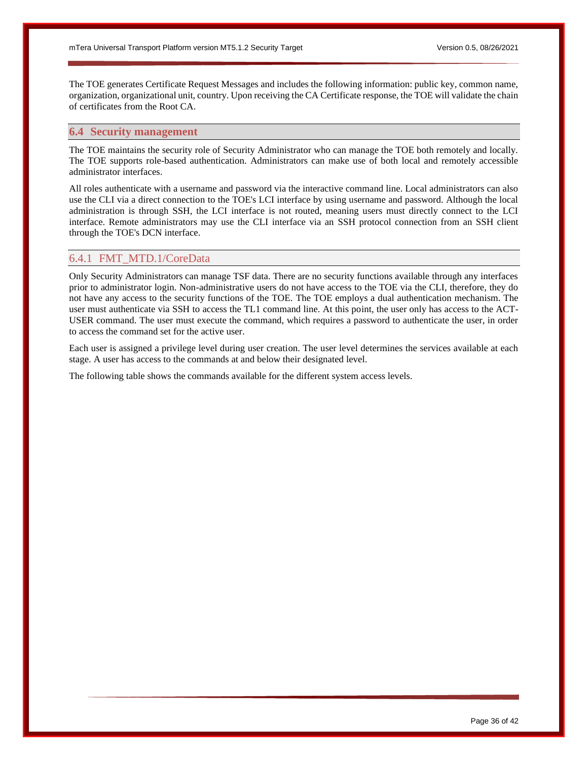The TOE generates Certificate Request Messages and includes the following information: public key, common name, organization, organizational unit, country. Upon receiving the CA Certificate response, the TOE will validate the chain of certificates from the Root CA.

# <span id="page-35-0"></span>**6.4 Security management**

The TOE maintains the security role of Security Administrator who can manage the TOE both remotely and locally. The TOE supports role-based authentication. Administrators can make use of both local and remotely accessible administrator interfaces.

All roles authenticate with a username and password via the interactive command line. Local administrators can also use the CLI via a direct connection to the TOE's LCI interface by using username and password. Although the local administration is through SSH, the LCI interface is not routed, meaning users must directly connect to the LCI interface. Remote administrators may use the CLI interface via an SSH protocol connection from an SSH client through the TOE's DCN interface.

# <span id="page-35-1"></span>6.4.1 FMT\_MTD.1/CoreData

Only Security Administrators can manage TSF data. There are no security functions available through any interfaces prior to administrator login. Non-administrative users do not have access to the TOE via the CLI, therefore, they do not have any access to the security functions of the TOE. The TOE employs a dual authentication mechanism. The user must authenticate via SSH to access the TL1 command line. At this point, the user only has access to the ACT-USER command. The user must execute the command, which requires a password to authenticate the user, in order to access the command set for the active user.

Each user is assigned a privilege level during user creation. The user level determines the services available at each stage. A user has access to the commands at and below their designated level.

The following table shows the commands available for the different system access levels.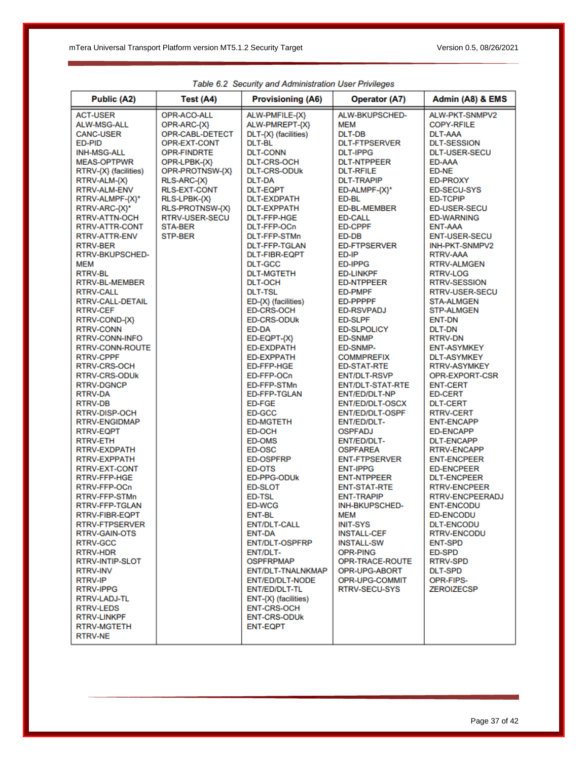| Public (A2)                                                                                                                                                                                                                                                                                                                                                                                                                                                                                                                                                                                                                                                                                                                                                                                                                                                                                                                                                                                                                                                                                                                                                    | Test (A4)                                                                                                                                                                                                                                             | <b>Provisioning (A6)</b>                                                                                                                                                                                                                                                                                                                                                                                                                                                                                                                                                                                                                                                                                                                                                                                                                                                                                                                                                                                                                                                                         | <b>Operator (A7)</b>                                                                                                                                                                                                                                                                                                                                                                                                                                                                                                                                                                                                                                                                                                                                                                                                                                                                                                                                                                                                                                   | Admin (A8) & EMS                                                                                                                                                                                                                                                                                                                                                                                                                                                                                                                                                                                                                                                                                                                                                                                                                                                                                                                                                                                                                                                   |
|----------------------------------------------------------------------------------------------------------------------------------------------------------------------------------------------------------------------------------------------------------------------------------------------------------------------------------------------------------------------------------------------------------------------------------------------------------------------------------------------------------------------------------------------------------------------------------------------------------------------------------------------------------------------------------------------------------------------------------------------------------------------------------------------------------------------------------------------------------------------------------------------------------------------------------------------------------------------------------------------------------------------------------------------------------------------------------------------------------------------------------------------------------------|-------------------------------------------------------------------------------------------------------------------------------------------------------------------------------------------------------------------------------------------------------|--------------------------------------------------------------------------------------------------------------------------------------------------------------------------------------------------------------------------------------------------------------------------------------------------------------------------------------------------------------------------------------------------------------------------------------------------------------------------------------------------------------------------------------------------------------------------------------------------------------------------------------------------------------------------------------------------------------------------------------------------------------------------------------------------------------------------------------------------------------------------------------------------------------------------------------------------------------------------------------------------------------------------------------------------------------------------------------------------|--------------------------------------------------------------------------------------------------------------------------------------------------------------------------------------------------------------------------------------------------------------------------------------------------------------------------------------------------------------------------------------------------------------------------------------------------------------------------------------------------------------------------------------------------------------------------------------------------------------------------------------------------------------------------------------------------------------------------------------------------------------------------------------------------------------------------------------------------------------------------------------------------------------------------------------------------------------------------------------------------------------------------------------------------------|--------------------------------------------------------------------------------------------------------------------------------------------------------------------------------------------------------------------------------------------------------------------------------------------------------------------------------------------------------------------------------------------------------------------------------------------------------------------------------------------------------------------------------------------------------------------------------------------------------------------------------------------------------------------------------------------------------------------------------------------------------------------------------------------------------------------------------------------------------------------------------------------------------------------------------------------------------------------------------------------------------------------------------------------------------------------|
| <b>ACT-USER</b><br><b>ALW-MSG-ALL</b><br><b>CANC-USER</b><br>ED-PID<br><b>INH-MSG-ALL</b><br><b>MEAS-OPTPWR</b><br>RTRV-{X} (facilities)<br>RTRV-ALM-{X}<br><b>RTRV-ALM-ENV</b><br>RTRV-ALMPF-{X}*<br>RTRV-ARC-{X}*<br><b>RTRV-ATTN-OCH</b><br>RTRV-ATTR-CONT<br>RTRV-ATTR-ENV<br><b>RTRV-BER</b><br>RTRV-BKUPSCHED-<br><b>MEM</b><br><b>RTRV-BL</b><br><b>RTRV-BL-MEMBER</b><br><b>RTRV-CALL</b><br><b>RTRV-CALL-DETAIL</b><br><b>RTRV-CEF</b><br>RTRV-COND-{X}<br><b>RTRV-CONN</b><br><b>RTRV-CONN-INFO</b><br>RTRV-CONN-ROUTE<br><b>RTRV-CPPF</b><br><b>RTRV-CRS-OCH</b><br><b>RTRV-CRS-ODUK</b><br><b>RTRV-DGNCP</b><br><b>RTRV-DA</b><br><b>RTRV-DB</b><br><b>RTRV-DISP-OCH</b><br><b>RTRV-ENGIDMAP</b><br><b>RTRV-EQPT</b><br><b>RTRV-ETH</b><br>RTRV-EXDPATH<br><b>RTRV-EXPPATH</b><br><b>RTRV-EXT-CONT</b><br>RTRV-FFP-HGE<br>RTRV-FFP-OCn<br>RTRV-FFP-STMn<br>RTRV-FFP-TGLAN<br>RTRV-FIBR-EQPT<br>RTRV-FTPSERVER<br><b>RTRV-GAIN-OTS</b><br><b>RTRV-GCC</b><br>RTRV-HDR<br>RTRV-INTIP-SLOT<br><b>RTRV-INV</b><br><b>RTRV-IP</b><br><b>RTRV-IPPG</b><br>RTRV-LADJ-TL<br><b>RTRV-LEDS</b><br><b>RTRV-LINKPF</b><br><b>RTRV-MGTETH</b><br><b>RTRV-NE</b> | OPR-ACO-ALL<br>OPR-ARC-{X}<br>OPR-CABL-DETECT<br>OPR-EXT-CONT<br><b>OPR-FINDRTE</b><br>OPR-LPBK-{X}<br>OPR-PROTNSW-{X}<br>RLS-ARC-{X}<br><b>RLS-EXT-CONT</b><br>RLS-LPBK-{X}<br>RLS-PROTNSW-{X}<br><b>RTRV-USER-SECU</b><br><b>STA-BER</b><br>STP-BER | ALW-PMFILE-{X}<br>ALW-PMREPT-{X}<br>DLT-{X} (facilities)<br>DLT-BL<br><b>DLT-CONN</b><br><b>DLT-CRS-OCH</b><br><b>DLT-CRS-ODUK</b><br><b>DLT-DA</b><br><b>DLT-EQPT</b><br><b>DLT-EXDPATH</b><br><b>DLT-EXPPATH</b><br><b>DLT-FFP-HGE</b><br>DLT-FFP-OCn<br><b>DLT-FFP-STMn</b><br><b>DLT-FFP-TGLAN</b><br><b>DLT-FIBR-EQPT</b><br><b>DLT-GCC</b><br><b>DLT-MGTETH</b><br><b>DLT-OCH</b><br><b>DLT-TSL</b><br>ED-{X} (facilities)<br><b>ED-CRS-OCH</b><br><b>ED-CRS-ODUK</b><br>ED-DA<br>ED-EQPT-{X}<br><b>ED-EXDPATH</b><br><b>FD-FXPPATH</b><br><b>ED-FFP-HGE</b><br>ED-FFP-OCn<br>ED-FFP-STMn<br><b>ED-FFP-TGLAN</b><br>ED-FGE<br>ED-GCC<br><b>ED-MGTETH</b><br>ED-OCH<br><b>ED-OMS</b><br>ED-OSC<br><b>ED-OSPFRP</b><br><b>ED-OTS</b><br><b>ED-PPG-ODUk</b><br><b>ED-SLOT</b><br><b>ED-TSL</b><br><b>ED-WCG</b><br><b>ENT-BL</b><br><b>ENT/DLT-CALL</b><br><b>ENT-DA</b><br><b>ENT/DLT-OSPFRP</b><br>ENT/DLT-<br><b>OSPFRPMAP</b><br>ENT/DLT-TNALNKMAP<br><b>ENT/ED/DLT-NODE</b><br>ENT/ED/DLT-TL<br>$ENT-\{X\}$ (facilities)<br><b>ENT-CRS-OCH</b><br><b>ENT-CRS-ODUK</b><br><b>ENT-EQPT</b> | ALW-BKUPSCHED-<br><b>MEM</b><br><b>DLT-DB</b><br><b>DLT-FTPSERVER</b><br><b>DLT-IPPG</b><br><b>DLT-NTPPEER</b><br><b>DLT-RFILE</b><br><b>DLT-TRAPIP</b><br>ED-ALMPF-{X}*<br><b>FD-BL</b><br><b>ED-BL-MEMBER</b><br><b>ED-CALL</b><br><b>ED-CPPF</b><br>ED-DB<br><b>ED-FTPSERVER</b><br>ED-IP<br><b>ED-IPPG</b><br><b>ED-LINKPF</b><br><b>ED-NTPPEER</b><br><b>ED-PMPF</b><br><b>ED-PPPPF</b><br><b>ED-RSVPADJ</b><br><b>ED-SLPF</b><br><b>ED-SLPOLICY</b><br><b>ED-SNMP</b><br>ED-SNMP-<br><b>COMMPREFIX</b><br><b>ED-STAT-RTE</b><br><b>ENT/DLT-RSVP</b><br><b>ENT/DLT-STAT-RTE</b><br><b>ENT/ED/DLT-NP</b><br><b>ENT/ED/DLT-OSCX</b><br><b>ENT/ED/DLT-OSPF</b><br><b>ENT/ED/DLT-</b><br><b>OSPFADJ</b><br><b>ENT/ED/DLT-</b><br><b>OSPFAREA</b><br><b>ENT-FTPSERVER</b><br><b>ENT-IPPG</b><br><b>ENT-NTPPEER</b><br><b>ENT-STAT-RTE</b><br><b>ENT-TRAPIP</b><br><b>INH-BKUPSCHED-</b><br><b>MEM</b><br><b>INIT-SYS</b><br><b>INSTALL-CEF</b><br><b>INSTALL-SW</b><br>OPR-PING<br>OPR-TRACE-ROUTE<br>OPR-UPG-ABORT<br>OPR-UPG-COMMIT<br>RTRV-SECU-SYS | ALW-PKT-SNMPV2<br><b>COPY-RFILE</b><br><b>DLT-AAA</b><br><b>DLT-SESSION</b><br><b>DLT-USER-SECU</b><br>ED-AAA<br><b>ED-NE</b><br><b>ED-PROXY</b><br><b>ED-SECU-SYS</b><br><b>ED-TCPIP</b><br><b>ED-USER-SECU</b><br><b>ED-WARNING</b><br><b>ENT-AAA</b><br><b>ENT-USER-SECU</b><br>INH-PKT-SNMPV2<br><b>RTRV-AAA</b><br><b>RTRV-ALMGEN</b><br><b>RTRV-LOG</b><br><b>RTRV-SESSION</b><br><b>RTRV-USER-SECU</b><br><b>STA-ALMGEN</b><br><b>STP-ALMGEN</b><br><b>ENT-DN</b><br><b>DLT-DN</b><br><b>RTRV-DN</b><br><b>ENT-ASYMKEY</b><br><b>DLT-ASYMKEY</b><br>RTRV-ASYMKEY<br>OPR-EXPORT-CSR<br><b>ENT-CERT</b><br><b>ED-CERT</b><br><b>DLT-CERT</b><br><b>RTRV-CERT</b><br><b>ENT-ENCAPP</b><br><b>ED-ENCAPP</b><br><b>DLT-ENCAPP</b><br><b>RTRV-ENCAPP</b><br><b>ENT-ENCPEER</b><br><b>ED-ENCPEER</b><br><b>DLT-ENCPEER</b><br><b>RTRV-ENCPEER</b><br><b>RTRV-ENCPEERADJ</b><br><b>ENT-ENCODU</b><br><b>ED-ENCODU</b><br><b>DLT-ENCODU</b><br><b>RTRV-ENCODU</b><br><b>ENT-SPD</b><br>ED-SPD<br><b>RTRV-SPD</b><br><b>DLT-SPD</b><br>OPR-FIPS-<br><b>ZEROIZECSP</b> |

Table 6.2 Security and Administration User Privileges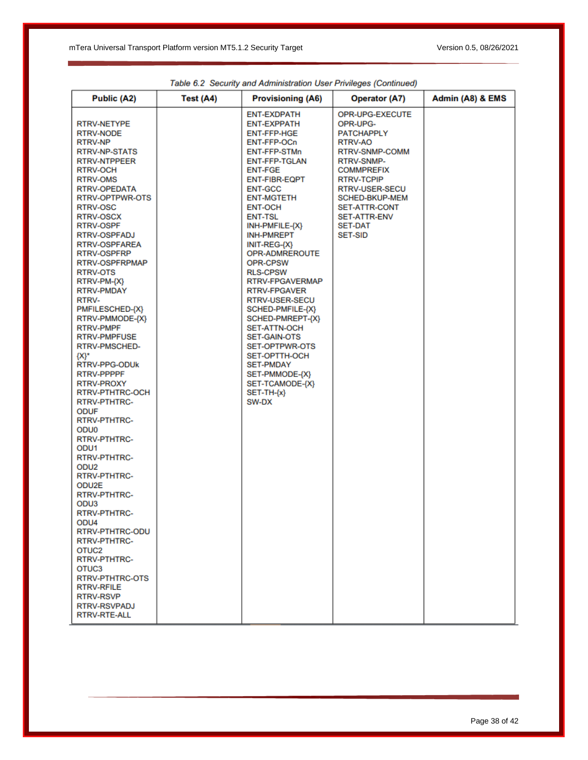| <b>Public (A2)</b>                                                                                                                                                                                                                                                                                                                                                                                                                                                                                                                                                                                                                                                                                                                                                                                                                                                                                                                                                                                                                                                                                  | Test (A4) | <b>Provisioning (A6)</b>                                                                                                                                                                                                                                                                                                                                                                                                                                                                                                                                                                                                      | <b>Operator (A7)</b>                                                                                                                                                                                                                                                | Admin (A8) & EMS |
|-----------------------------------------------------------------------------------------------------------------------------------------------------------------------------------------------------------------------------------------------------------------------------------------------------------------------------------------------------------------------------------------------------------------------------------------------------------------------------------------------------------------------------------------------------------------------------------------------------------------------------------------------------------------------------------------------------------------------------------------------------------------------------------------------------------------------------------------------------------------------------------------------------------------------------------------------------------------------------------------------------------------------------------------------------------------------------------------------------|-----------|-------------------------------------------------------------------------------------------------------------------------------------------------------------------------------------------------------------------------------------------------------------------------------------------------------------------------------------------------------------------------------------------------------------------------------------------------------------------------------------------------------------------------------------------------------------------------------------------------------------------------------|---------------------------------------------------------------------------------------------------------------------------------------------------------------------------------------------------------------------------------------------------------------------|------------------|
| RTRV-NETYPE<br><b>RTRV-NODE</b><br><b>RTRV-NP</b><br><b>RTRV-NP-STATS</b><br><b>RTRV-NTPPEER</b><br><b>RTRV-OCH</b><br><b>RTRV-OMS</b><br><b>RTRV-OPEDATA</b><br>RTRV-OPTPWR-OTS<br><b>RTRV-OSC</b><br><b>RTRV-OSCX</b><br>RTRV-OSPF<br><b>RTRV-OSPFADJ</b><br><b>RTRV-OSPFAREA</b><br>RTRV-OSPFRP<br>RTRV-OSPFRPMAP<br><b>RTRV-OTS</b><br>RTRV-PM-{X}<br><b>RTRV-PMDAY</b><br>RTRV-<br>PMFILESCHED-{X}<br>RTRV-PMMODE-{X}<br><b>RTRV-PMPF</b><br><b>RTRV-PMPFUSE</b><br><b>RTRV-PMSCHED-</b><br>$\{X\}^*$<br>RTRV-PPG-ODUK<br>RTRV-PPPPF<br><b>RTRV-PROXY</b><br>RTRV-PTHTRC-OCH<br><b>RTRV-PTHTRC-</b><br><b>ODUF</b><br><b>RTRV-PTHTRC-</b><br>ODU <sub>0</sub><br><b>RTRV-PTHTRC-</b><br>ODU <sub>1</sub><br><b>RTRV-PTHTRC-</b><br>ODU <sub>2</sub><br><b>RTRV-PTHTRC-</b><br>ODU2E<br><b>RTRV-PTHTRC-</b><br>ODU <sub>3</sub><br><b>RTRV-PTHTRC-</b><br>ODU <sub>4</sub><br>RTRV-PTHTRC-ODU<br><b>RTRV-PTHTRC-</b><br>OTUC <sub>2</sub><br><b>RTRV-PTHTRC-</b><br>OTUC <sub>3</sub><br>RTRV-PTHTRC-OTS<br><b>RTRV-RFILE</b><br><b>RTRV-RSVP</b><br><b>RTRV-RSVPADJ</b><br><b>RTRV-RTE-ALL</b> |           | <b>ENT-EXDPATH</b><br>ENT-EXPPATH<br>ENT-FFP-HGE<br>ENT-FFP-OCn<br>ENT-FFP-STMn<br><b>ENT-FFP-TGLAN</b><br><b>ENT-FGE</b><br><b>ENT-FIBR-EQPT</b><br><b>ENT-GCC</b><br><b>ENT-MGTETH</b><br><b>ENT-OCH</b><br><b>ENT-TSL</b><br>$INH-PMFILE-\{X\}$<br><b>INH-PMREPT</b><br>INIT-REG-{X}<br>OPR-ADMREROUTE<br>OPR-CPSW<br><b>RLS-CPSW</b><br>RTRV-FPGAVERMAP<br>RTRV-FPGAVER<br><b>RTRV-USER-SECU</b><br>SCHED-PMFILE-{X}<br>SCHED-PMREPT-{X}<br><b>SET-ATTN-OCH</b><br><b>SET-GAIN-OTS</b><br><b>SET-OPTPWR-OTS</b><br><b>SET-OPTTH-OCH</b><br><b>SET-PMDAY</b><br>SET-PMMODE-{X}<br>SET-TCAMODE-{X}<br>$SET-TH-(x)$<br>SW-DX | OPR-UPG-EXECUTE<br>OPR-UPG-<br><b>PATCHAPPLY</b><br>RTRV-AO<br>RTRV-SNMP-COMM<br><b>RTRV-SNMP-</b><br><b>COMMPREFIX</b><br><b>RTRV-TCPIP</b><br>RTRV-USER-SECU<br>SCHED-BKUP-MEM<br><b>SET-ATTR-CONT</b><br><b>SET-ATTR-ENV</b><br><b>SET-DAT</b><br><b>SET-SID</b> |                  |

Table 6.2 Security and Administration User Privileges (Continued)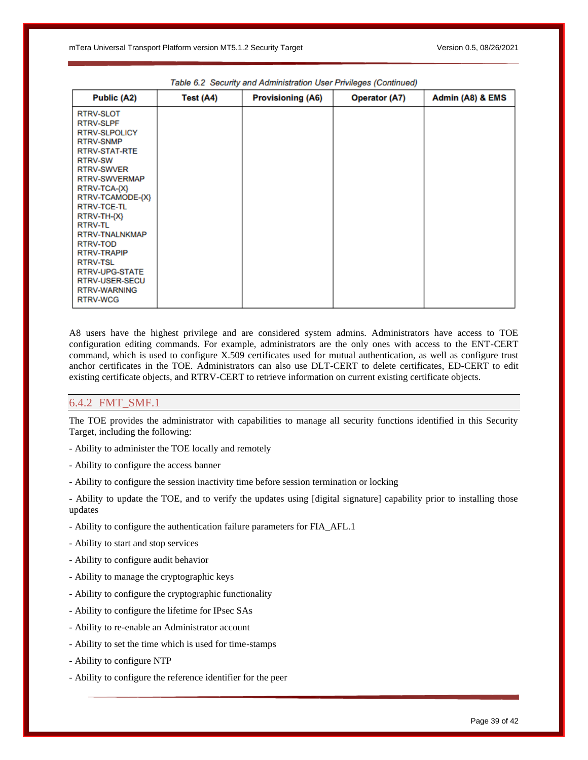| Public (A2)                                                                                                                                                                                                                                                                                                                                                 | Test (A4) | <b>Provisioning (A6)</b> | <b>Operator (A7)</b> | Admin (A8) & EMS |
|-------------------------------------------------------------------------------------------------------------------------------------------------------------------------------------------------------------------------------------------------------------------------------------------------------------------------------------------------------------|-----------|--------------------------|----------------------|------------------|
| <b>RTRV-SLOT</b><br><b>RTRV-SLPF</b><br><b>RTRV-SLPOLICY</b><br><b>RTRV-SNMP</b><br><b>RTRV-STAT-RTE</b><br><b>RTRV-SW</b><br><b>RTRV-SWVER</b><br><b>RTRV-SWVERMAP</b><br>RTRV-TCA-{X}<br>RTRV-TCAMODE-{X}<br>RTRV-TCE-TL<br>RTRV-TH-{X}<br><b>RTRV-TL</b><br>RTRV-TNALNKMAP<br>RTRV-TOD<br><b>RTRV-TRAPIP</b><br><b>RTRV-TSL</b><br><b>RTRV-UPG-STATE</b> |           |                          |                      |                  |
| <b>RTRV-USER-SECU</b><br><b>RTRV-WARNING</b><br><b>RTRV-WCG</b>                                                                                                                                                                                                                                                                                             |           |                          |                      |                  |

|  |  | Table 6.2 Security and Administration User Privileges (Continued) |  |  |  |  |
|--|--|-------------------------------------------------------------------|--|--|--|--|
|--|--|-------------------------------------------------------------------|--|--|--|--|

A8 users have the highest privilege and are considered system admins. Administrators have access to TOE configuration editing commands. For example, administrators are the only ones with access to the ENT-CERT command, which is used to configure X.509 certificates used for mutual authentication, as well as configure trust anchor certificates in the TOE. Administrators can also use DLT-CERT to delete certificates, ED-CERT to edit existing certificate objects, and RTRV-CERT to retrieve information on current existing certificate objects.

### <span id="page-38-0"></span>6.4.2 FMT\_SMF.1

The TOE provides the administrator with capabilities to manage all security functions identified in this Security Target, including the following:

- Ability to administer the TOE locally and remotely
- Ability to configure the access banner
- Ability to configure the session inactivity time before session termination or locking

- Ability to update the TOE, and to verify the updates using [digital signature] capability prior to installing those updates

- Ability to configure the authentication failure parameters for FIA\_AFL.1
- Ability to start and stop services
- Ability to configure audit behavior
- Ability to manage the cryptographic keys
- Ability to configure the cryptographic functionality
- Ability to configure the lifetime for IPsec SAs
- Ability to re-enable an Administrator account
- Ability to set the time which is used for time-stamps
- Ability to configure NTP
- Ability to configure the reference identifier for the peer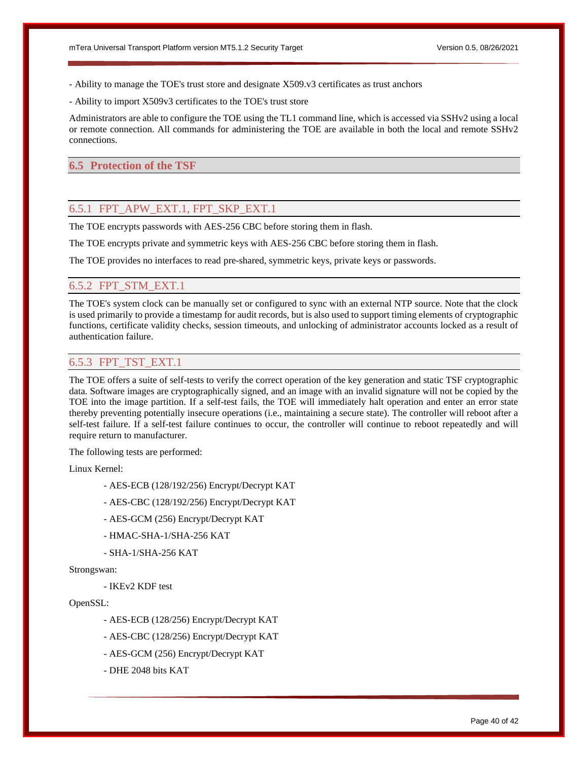- Ability to manage the TOE's trust store and designate X509.v3 certificates as trust anchors
- Ability to import X509v3 certificates to the TOE's trust store

Administrators are able to configure the TOE using the TL1 command line, which is accessed via SSHv2 using a local or remote connection. All commands for administering the TOE are available in both the local and remote SSHv2 connections.

# <span id="page-39-0"></span>**6.5 Protection of the TSF**

# <span id="page-39-1"></span>6.5.1 FPT\_APW\_EXT.1, FPT\_SKP\_EXT.1

The TOE encrypts passwords with AES-256 CBC before storing them in flash.

The TOE encrypts private and symmetric keys with AES-256 CBC before storing them in flash.

The TOE provides no interfaces to read pre-shared, symmetric keys, private keys or passwords.

# <span id="page-39-2"></span>6.5.2 FPT\_STM\_EXT.1

The TOE's system clock can be manually set or configured to sync with an external NTP source. Note that the clock is used primarily to provide a timestamp for audit records, but is also used to support timing elements of cryptographic functions, certificate validity checks, session timeouts, and unlocking of administrator accounts locked as a result of authentication failure.

# <span id="page-39-3"></span>6.5.3 FPT\_TST\_EXT.1

The TOE offers a suite of self-tests to verify the correct operation of the key generation and static TSF cryptographic data. Software images are cryptographically signed, and an image with an invalid signature will not be copied by the TOE into the image partition. If a self-test fails, the TOE will immediately halt operation and enter an error state thereby preventing potentially insecure operations (i.e., maintaining a secure state). The controller will reboot after a self-test failure. If a self-test failure continues to occur, the controller will continue to reboot repeatedly and will require return to manufacturer.

The following tests are performed:

Linux Kernel:

- AES-ECB (128/192/256) Encrypt/Decrypt KAT
- AES-CBC (128/192/256) Encrypt/Decrypt KAT
- AES-GCM (256) Encrypt/Decrypt KAT
- HMAC-SHA-1/SHA-256 KAT
- SHA-1/SHA-256 KAT

### Strongswan:

- IKEv2 KDF test

# OpenSSL:

- AES-ECB (128/256) Encrypt/Decrypt KAT
- AES-CBC (128/256) Encrypt/Decrypt KAT
- AES-GCM (256) Encrypt/Decrypt KAT

- DHE 2048 bits KAT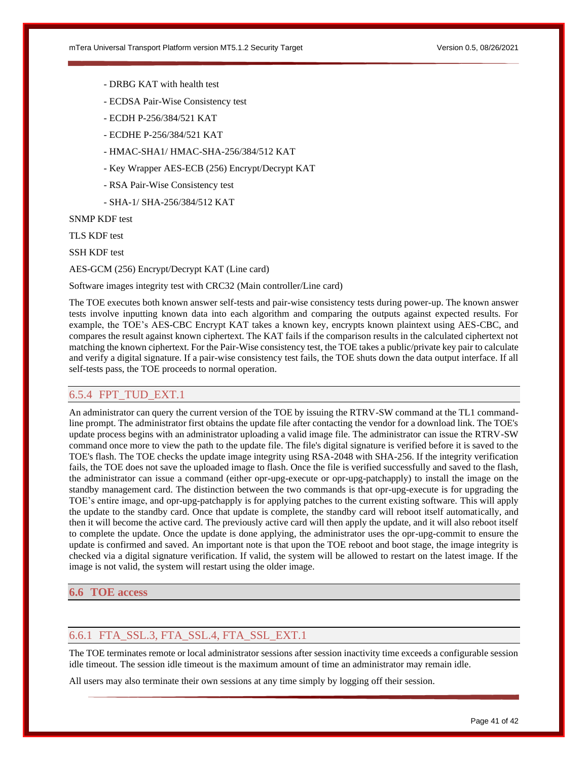- DRBG KAT with health test
- ECDSA Pair-Wise Consistency test
- ECDH P-256/384/521 KAT
- ECDHE P-256/384/521 KAT
- HMAC-SHA1/ HMAC-SHA-256/384/512 KAT
- Key Wrapper AES-ECB (256) Encrypt/Decrypt KAT
- RSA Pair-Wise Consistency test
- SHA-1/ SHA-256/384/512 KAT

SNMP KDF test

TLS KDF test

SSH KDF test

AES-GCM (256) Encrypt/Decrypt KAT (Line card)

Software images integrity test with CRC32 (Main controller/Line card)

The TOE executes both known answer self-tests and pair-wise consistency tests during power-up. The known answer tests involve inputting known data into each algorithm and comparing the outputs against expected results. For example, the TOE's AES-CBC Encrypt KAT takes a known key, encrypts known plaintext using AES-CBC, and compares the result against known ciphertext. The KAT fails if the comparison results in the calculated ciphertext not matching the known ciphertext. For the Pair-Wise consistency test, the TOE takes a public/private key pair to calculate and verify a digital signature. If a pair-wise consistency test fails, the TOE shuts down the data output interface. If all self-tests pass, the TOE proceeds to normal operation.

# <span id="page-40-0"></span>6.5.4 FPT\_TUD\_EXT.1

An administrator can query the current version of the TOE by issuing the RTRV-SW command at the TL1 commandline prompt. The administrator first obtains the update file after contacting the vendor for a download link. The TOE's update process begins with an administrator uploading a valid image file. The administrator can issue the RTRV-SW command once more to view the path to the update file. The file's digital signature is verified before it is saved to the TOE's flash. The TOE checks the update image integrity using RSA-2048 with SHA-256. If the integrity verification fails, the TOE does not save the uploaded image to flash. Once the file is verified successfully and saved to the flash, the administrator can issue a command (either opr-upg-execute or opr-upg-patchapply) to install the image on the standby management card. The distinction between the two commands is that opr-upg-execute is for upgrading the TOE's entire image, and opr-upg-patchapply is for applying patches to the current existing software. This will apply the update to the standby card. Once that update is complete, the standby card will reboot itself automatically, and then it will become the active card. The previously active card will then apply the update, and it will also reboot itself to complete the update. Once the update is done applying, the administrator uses the opr-upg-commit to ensure the update is confirmed and saved. An important note is that upon the TOE reboot and boot stage, the image integrity is checked via a digital signature verification. If valid, the system will be allowed to restart on the latest image. If the image is not valid, the system will restart using the older image.

# <span id="page-40-1"></span>**6.6 TOE access**

# <span id="page-40-2"></span>6.6.1 FTA\_SSL.3, FTA\_SSL.4, FTA\_SSL\_EXT.1

The TOE terminates remote or local administrator sessions after session inactivity time exceeds a configurable session idle timeout. The session idle timeout is the maximum amount of time an administrator may remain idle.

All users may also terminate their own sessions at any time simply by logging off their session.